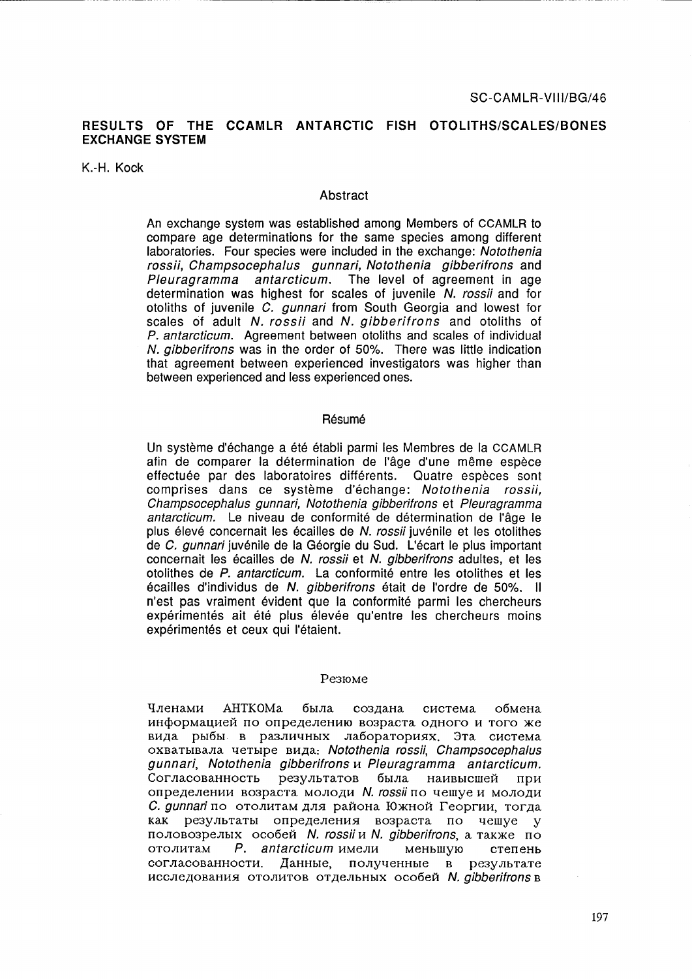### **RESULTS OF THE CCAMLR ANTARCTIC FISH OTOLlTHS/SCALES/BONES EXCHANGE SYSTEM**

K.-H. Kock

#### **Abstract**

An exchange system was established among Members of CCAMLR to compare age determinations for the same species among different laboratories. Four species were included in the exchange: Notothenia rossii, Champsocephalus gunnari, Notothenia gibberifrons and Pleuragramma antarcticum. The level of agreement in age determination was highest for scales of juvenile N. rossii and for otoliths of juvenile C. gunnari from South Georgia and lowest for scales of adult N. rossii and N. gibberifrons and otoliths of P. antarcticum. Agreement between otoliths and scales of individual N. gibberifrons was in the order of 50%. There was little indication that agreement between experienced investigators was higher than between experienced and less experienced ones.

#### **Résumé**

Un système d'échange a été établi parmi les Membres de la CCAMLR afin de comparer la determination de I'age d'une meme espece effectuée par des laboratoires différents. Quatre espèces sont comprises dans ce système d'échange: Notothenia rossii, Champsocephalus gunnari, Notothenia gibberifrons et Pleuragramma antarcticum. Le niveau de conformité de détermination de l'âge le plus élevé concernait les écailles de N. rossii juvénile et les otolithes de C. *gunnari* juvénile de la Géorgie du Sud. L'écart le plus important concernait les ecailles de N. rossii et N. gibberifrons adultes, et les otolithes de P. antarcticum. La conformité entre les otolithes et les écailles d'individus de N. gibberifrons était de l'ordre de 50%. Il n'est pas vraiment évident que la conformité parmi les chercheurs expérimentés ait été plus élevée qu'entre les chercheurs moins expérimentés et ceux qui l'étaient.

#### Резюме

Членами АНТКОМа была создана система обмена информацией по определению возраста одного и того же вида рыбы в различных лабораториях. Эта система OXBaTbIBaJIa lIeTbIpe BH,lIa: Notothenia rossii, ChampsocephaJus gunnari, Notothenia gibberifrons u Pleuragramma antarcticum. Согласованность результатов была наивысшей при определении возраста молоди N. rossii по чешуе и молоди C. gunnari по отолитам для района Южной Георгии, тогда как результаты определения возраста по чешуе у половозрелых особей N. rossii и N. gibberifrons, а также по  $O$  отолитам  $P$ . antarcticum имели меньшую степень согласованности. Данные, полученные в результате исследования отолитов отдельных особей N. gibberifrons в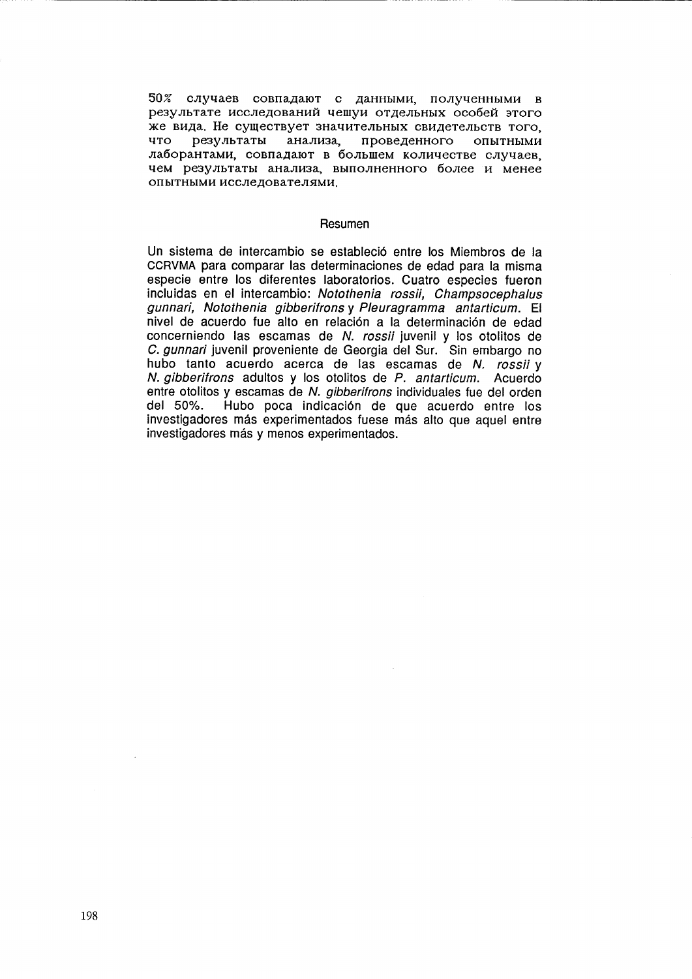50% случаев совпадают с данными, полученными в результате исследований чешуи отдельных особей этого же вида. Не существует значительных свидетельств того, что результаты анализа, проведенного опытными лаборантами, совпадают в большем количестве случаев, чем результаты анализа, выполненного более и менее опытными исследователями.

#### Resumen

Un sistema de intercambio se establecio entre los Miembros de la CCRVMA para comparar las determinaciones de edad para la misma especie entre los diferentes laboratorios. Cuatro especies fueron incluidas en el intercambio: Notothenia rossii, Champsocephalus gunnari, Notothenia gibberifrons y Pleuragramma antarticum. El nivel de acuerdo fue alto en relacion a la determinacion de edad concerniendo las escamas de N. rossii juvenil y los otolitos de C. gunnari juvenil proveniente de Georgia del Sur. Sin embargo no hubo tanto acuerdo acerca de las escamas de N. rossii y N. gibberifrons adultos y los otolitos de P. antarticum. Acuerdo entre otolitos y escamas de N. *gibberifrons* individuales fue del orden<br>del 50%. Hubo poca indicación de que acuerdo entre los Hubo poca indicación de que acuerdo entre los investigadores más experimentados fuese más alto que aquel entre investigadores más y menos experimentados.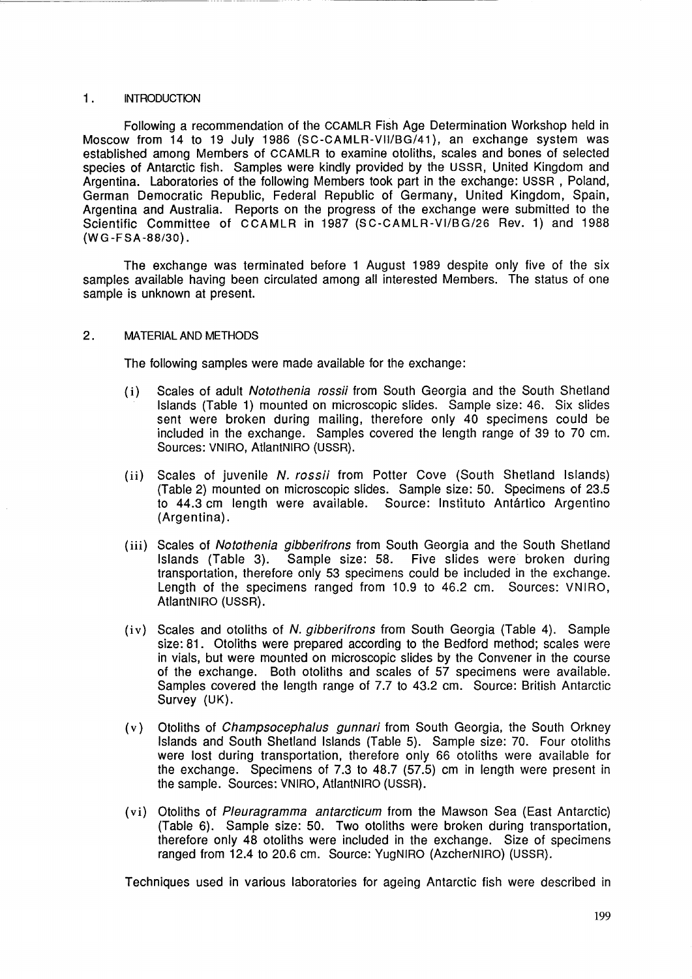#### 1. INTRODUCTION

Following a recommendation of the CCAMLR Fish Age Determination Workshop held in Moscow from 14 to 19 July 1986 (SC-CAMLR-VII/BG/41), an exchange system was established among Members of CCAMLR to examine otoliths, scales and bones of selected species of Antarctic fish. Samples were kindly provided by the USSR, United Kingdom and Argentina. Laboratories of the following Members took part in the exchange: USSR, Poland, German Democratic Republic, Federal Republic of Germany, United Kingdom, Spain, Argentina and Australia. Reports on the progress of the exchange were submitted to the Scientific Committee of CCAMLR in 1987 (SC-CAMLR-VI/8G/26 Rev. 1) and 1988 (WG-FSA-88/30).

The exchange was terminated before 1 August 1989 despite only five of the six samples available having been circulated among all interested Members. The status of one sample is unknown at present.

#### 2. MATERIAL AND METHODS

The following samples were made available for the exchange:

- (i) Scales of adult Notothenia rossii from South Georgia and the South Shetland Islands (Table 1) mounted on microscopic slides. Sample size: 46. Six slides sent were broken during mailing, therefore only 40 specimens could be included in the exchange. Samples covered the length range of 39 to 70 cm. Sources: VNIRO, AtlantNIRO (USSR).
- (ii) Scales of juvenile N. rossii from Potter Cove (South Shetland Islands) (Table 2) mounted on microscopic slides. Sample size: 50. Specimens of 23.5 to 44.3 cm length were available. Source: Instituto Antartico Argentino (Argentina).
- (iii) Scales of Notothenia gibberifrons from South Georgia and the South Shetland Islands (Table 3). Sample size: 58. Five slides were broken during transportation, therefore only 53 specimens could be included in the exchange. Length of the specimens ranged from 10.9 to 46.2 cm. Sources: VNIRO, AtlantNIRO (USSR).
- (iv) Scales and otoliths of N. gibberifrons from South Georgia (Table 4). Sample size: 81. Otoliths were prepared according to the Bedford method; scales were in vials, but were mounted on microscopic slides by the Convener in the course of the exchange. Both otoliths and scales of 57 specimens were available. Samples covered the length range of 7.7 to 43.2 cm. Source: British Antarctic Survey (UK).
- (v) Otoliths of Champsocephalus gunnari from South Georgia, the South Orkney Islands and South Shetland Islands (Table 5). Sample size: 70. Four otoliths were lost during transportation, therefore only 66 otoliths were available for the exchange. Specimens of 7.3 to 48.7 (57.5) cm in length were present in the sample. Sources: VNIRO, AtlantNIRO (USSR).
- (vi) Otoliths of Pleuragramma antarcticum from the Mawson Sea (East Antarctic) (Table 6). Sample size: 50. Two otoliths were broken during transportation, therefore only 48 otoliths were included in the exchange. Size of specimens ranged from 12.4 to 20.6 cm. Source: YugNIRO (AzcherNIRO) (USSR).

Techniques used in various laboratories for ageing Antarctic fish were described in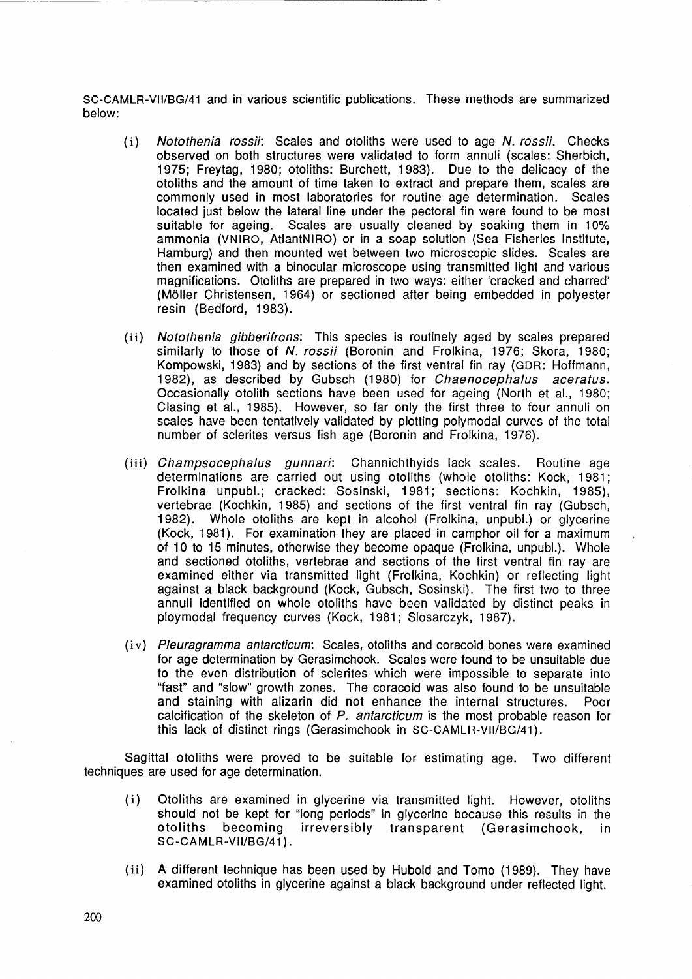SC-CAMLR-VII/8G/41 and in various scientific publications. These methods are summarized below:

- (i) Notothenia rossii: Scales and otoliths were used to age N. rossii. Checks observed on both structures were validated to form annuli (scales: Sherbich, 1975; Freytag, 1980; otoliths: Burchett, 1983). Due to the delicacy of the otoliths and the amount of time taken to extract and prepare them, scales are commonly used in most laboratories for routine age determination. Scales located just below the lateral line under the pectoral fin were found to be most suitable for ageing. Scales are usually cleaned by soaking them in 10% ammonia (VNIRO, AtlantNIRO) or in a soap solution (Sea Fisheries Institute, Hamburg) and then mounted wet between two microscopic slides. Scales are then examined with a binocular microscope using transmitted light and various magnifications. Otoliths are prepared in two ways: either 'cracked and charred' (Moller Christensen, 1964) or sectioned after being embedded in polyester resin (Bedford, 1983).
- (ii) Notothenia gibberifrons: This species is routinely aged by scales prepared similarly to those of N. rossii (Boronin and Frolkina, 1976; Skora, 1980; Kompowski, 1983) and by sections of the first ventral fin ray (GDR: Hoffmann, 1982), as described by Gubsch (1980) for Chaenocephalus aceratus. Occasionally otolith sections have been used for ageing (North et al., 1980; Clasing et al., 1985). However, so far only the first three to four annuli on scales have been tentatively validated by plotting polymodal curves of the total number of sclerites versus fish age (Boronin and Frolkina, 1976).
- (iii) Champsocephalus gunnari: Channichthyids lack scales. Routine age determinations are carried out using otoliths (whole otoliths: Kock, 1981; Frolkina unpubl.; cracked: Sosinski, 1981; sections: Kochkin, 1985), vertebrae (Kochkin, 1985) and sections of the first ventral fin ray (Gubsch, 1982). Whole otoliths are kept in alcohol (Frolkina, unpubl.) or glycerine (Kock, 1981). For examination they are placed in camphor oil for a maximum of 10 to 15 minutes, otherwise they become opaque (Frolkina, unpubl.). Whole and sectioned otoliths, vertebrae and sections of the first ventral fin ray are examined either via transmitted light (Frolkina, Kochkin) or reflecting light against a black background (Kock, Gubsch, Sosinski). The first two to three annuli identified on whole otoliths have been validated by distinct peaks in ploy modal frequency curves (Kock, 1981; Slosarczyk, 1987).
- (iv) Pleuragramma antarcticum: Scales, otoliths and coracoid bones were examined for age determination by Gerasimchook. Scales were found to be unsuitable due to the even distribution of sclerites which were impossible to separate into "fast" and "slow" growth zones. The coracoid was also found to be unsuitable and staining with alizarin did not enhance the internal structures. Poor calcification of the skeleton of P. antarcticum is the most probable reason for this lack of distinct rings (Gerasimchook in SC-CAMLR-VII/8G/41).

Sagittal otoliths were proved to be suitable for estimating age. Two different techniques are used for age determination.

- (i) Otoliths are examined in glycerine via transmitted light. However, otoliths should not be kept for "long periods" in glycerine because this results in the otoliths becoming irreversibly transparent (Gerasimchook, in SC-CAMLR-VII/BG/41).
- (ii) A different technique has been used by Hubold and Tomo (1989). They have examined otoliths in glycerine against a black background under reflected light.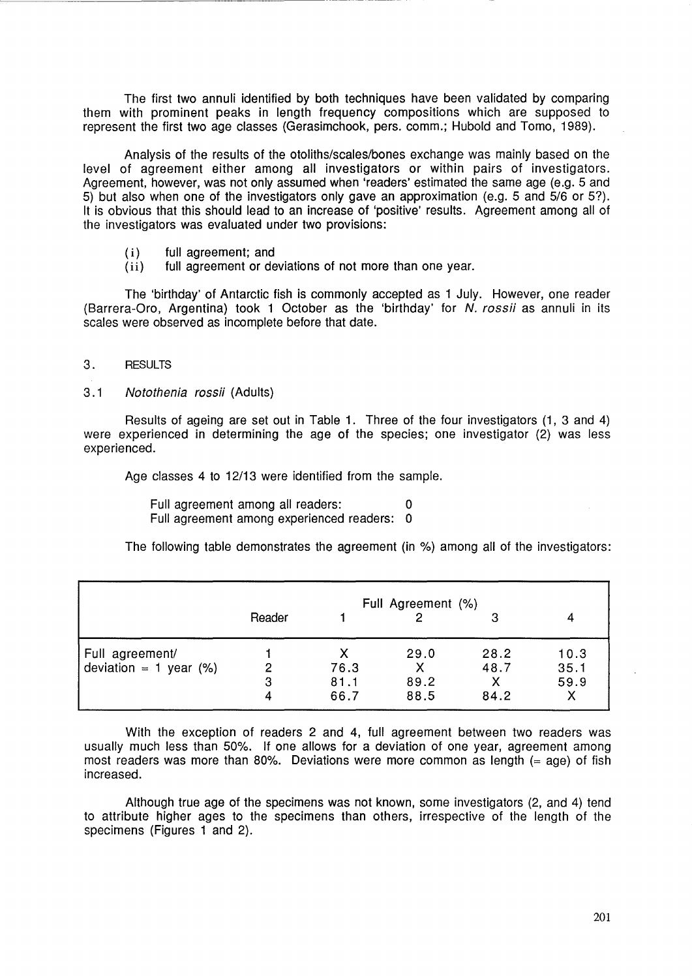The first two annuli identified by both techniques have been validated by comparing them with prominent peaks in length frequency compositions which are supposed to represent the first two age classes (Gerasimchook, pers. comm.; Hubold and Tomo, 1989).

Analysis of the results of the otoliths/scales/bones exchange was mainly based on the level of agreement either among all investigators or within pairs of investigators. Agreement, however, was not only assumed when 'readers' estimated the same age (e.g. 5 and 5) but also when one of the investigators only gave an approximation (e.g. 5 and 5/6 or 5?). It is obvious that this should lead to an increase of 'positive' results. Agreement among all of the investigators was evaluated under two provisions:

- ( i) full agreement; and
- (ii) full agreement or deviations of not more than one year.

The 'birthday' of Antarctic fish is commonly accepted as 1 July. However, one reader (Barrera-Oro, Argentina) took 1 October as the 'birthday' for N. rossii as annuli in its scales were observed as incomplete before that date.

#### 3. RESULTS

#### 3.1 Notothenia rossii (Adults)

Results of ageing are set out in Table 1. Three of the four investigators (1, 3 and 4) were experienced in determining the age of the species; one investigator (2) was less experienced.

Age classes 4 to 12/13 were identified from the sample.

Full agreement among all readers: 0 Full agreement among experienced readers: 0

The following table demonstrates the agreement (in %) among all of the investigators:

|                           | Full Agreement (%) |      |      |      |      |
|---------------------------|--------------------|------|------|------|------|
|                           | Reader             |      |      | З    | 4    |
| Full agreement/           |                    |      | 29.0 | 28.2 | 10.3 |
| deviation = 1 year $(\%)$ | 2                  | 76.3 |      | 48.7 | 35.1 |
|                           | 3                  | 81.1 | 89.2 |      | 59.9 |
|                           | 4                  | 66.7 | 88.5 | 84.2 |      |

With the exception of readers 2 and 4, full agreement between two readers was usually much less than 50%. If one allows for a deviation of one year, agreement among most readers was more than 80%. Deviations were more common as length  $(= aq)$  of fish increased.

Although true age of the specimens was not known, some investigators (2, and 4) tend to attribute higher ages to the specimens than others, irrespective of the length of the specimens (Figures 1 and 2).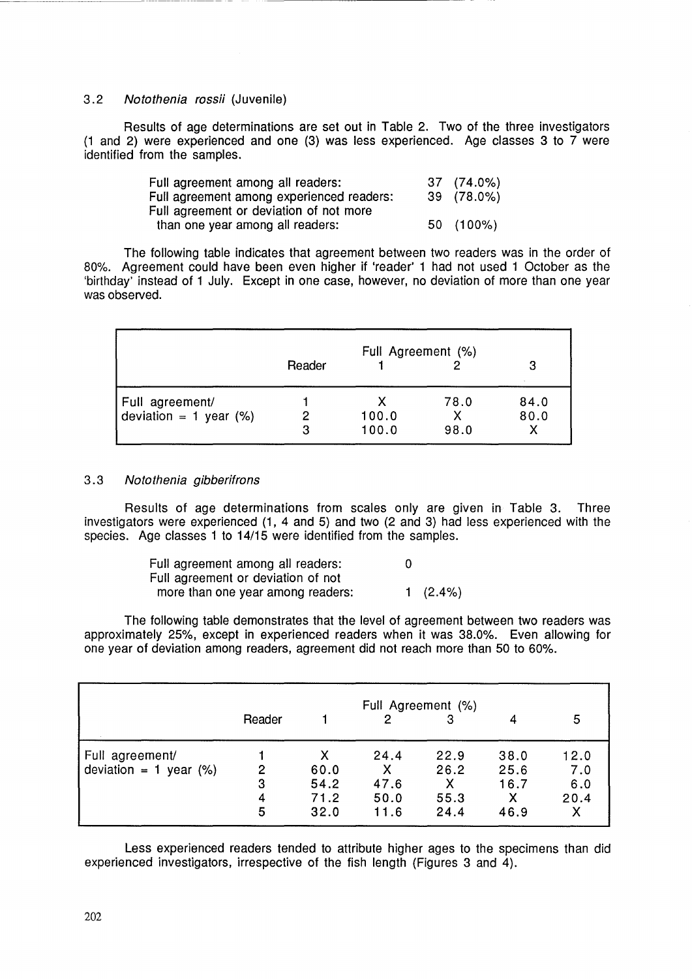### 3.2 Notothenia rossii (Juvenile)

Results of age determinations are set out in Table 2. Two of the three investigators (1 and 2) were experienced and one (3) was less experienced. Age classes 3 to 7 were identified from the samples.

| Full agreement among all readers:         | 37 (74.0%) |
|-------------------------------------------|------------|
| Full agreement among experienced readers: | 39 (78.0%) |
| Full agreement or deviation of not more   |            |
| than one year among all readers:          | 50 (100%)  |

The following table indicates that agreement between two readers was in the order of 80%. Agreement could have been even higher if 'reader' 1 had not used 1 October as the 'birthday' instead of 1 July. Except in one case, however, no deviation of more than one year was observed.

|                           | Full Agreement (%) |       |      |      |  |  |
|---------------------------|--------------------|-------|------|------|--|--|
|                           | Reader             |       |      |      |  |  |
| Full agreement/           |                    |       | 78.0 | 84.0 |  |  |
| deviation = 1 year $(\%)$ |                    | 100.0 |      | 80.0 |  |  |
|                           | 3                  | 100.0 | 98.0 |      |  |  |

#### 3.3 Notothenia gibberifrons

Results of age determinations from scales only are given in Table 3. Three investigators were experienced (1, 4 and 5) and two (2 and 3) had less experienced with the species. Age classes 1 to 14/15 were identified from the samples.

| Full agreement among all readers:  | 0 |             |
|------------------------------------|---|-------------|
| Full agreement or deviation of not |   |             |
| more than one year among readers:  |   | 1 $(2.4\%)$ |

The following table demonstrates that the level of agreement between two readers was approximately 25%, except in experienced readers when it was 38.0%. Even allowing for one year of deviation among readers, agreement did not reach more than 50 to 60%.

|                           | Full Agreement (%) |      |      |      |      |      |  |
|---------------------------|--------------------|------|------|------|------|------|--|
|                           | Reader             |      | 2    | 3    |      | 5    |  |
| Full agreement/           |                    | х    | 24.4 | 22.9 | 38.0 | 12.0 |  |
| deviation = 1 year $(\%)$ | 2                  | 60.0 | Χ    | 26.2 | 25.6 | 7.0  |  |
|                           | 3                  | 54.2 | 47.6 | х    | 16.7 | 6.0  |  |
|                           | 4                  | 71.2 | 50.0 | 55.3 |      | 20.4 |  |
|                           | 5                  | 32.0 | 11.6 | 24.4 | 46.9 | Χ    |  |

Less experienced readers tended to attribute higher ages to the specimens than did experienced investigators, irrespective of the fish length (Figures 3 and 4).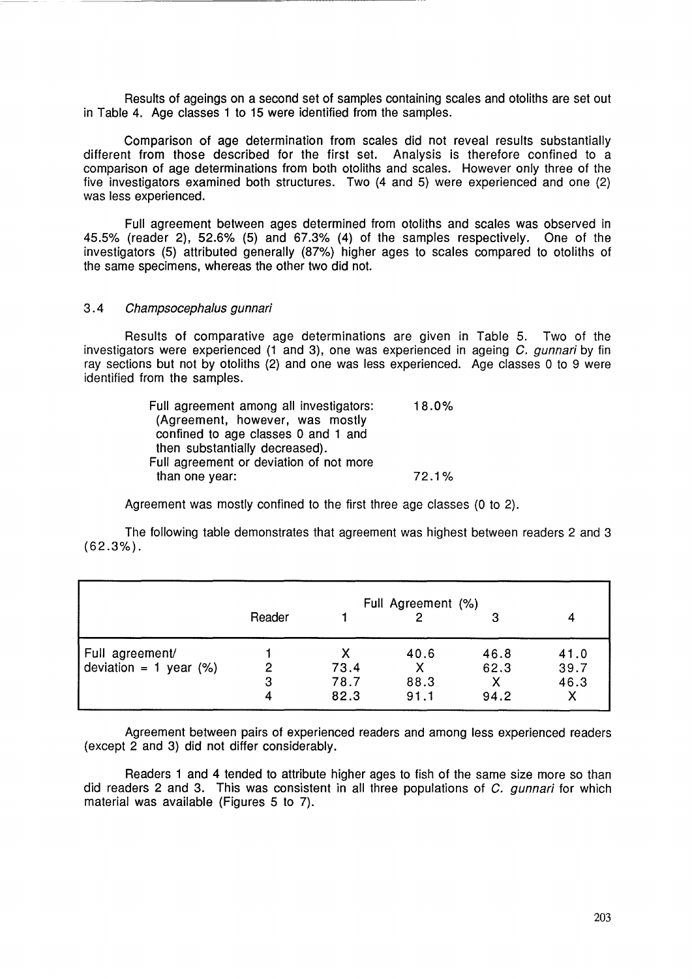Results of ageings on a second set of samples containing scales and otoliths are set out in Table 4. Age classes 1 to 15 were identified from the samples.

Comparison of age determination from scales did not reveal results substantially different from those described for the first set. Analysis is therefore confined to a comparison of age determinations from both otoliths and scales. However only three of the five investigators examined both structures. Two (4 and 5) were experienced and one (2) was less experienced.

Full agreement between ages determined from otoliths and scales was observed in 45.5% (reader 2), 52.6% (5) and 67.3% (4) of the samples respectively. One of the investigators (5) attributed generally (87%) higher ages to scales compared to otoliths of the same specimens, whereas the other two did not.

#### 3.4 Champsocephalus gunnari

Results of comparative age determinations are given in Table 5. Two of the investigators were experienced (1 and 3), one was experienced in ageing C. gunnari by fin ray sections but not by otoliths (2) and one was less experienced. Age classes 0 to 9 were identified from the samples.

| Full agreement among all investigators: | 18.0% |
|-----------------------------------------|-------|
| (Agreement, however, was mostly         |       |
| confined to age classes 0 and 1 and     |       |
| then substantially decreased).          |       |
| Full agreement or deviation of not more |       |
| than one year:                          | 72.1% |

Agreement was mostly confined to the first three age classes (0 to 2).

The following table demonstrates that agreement was highest between readers 2 and 3 (62.3%).

|                           | Full Agreement (%)<br>Reader<br>3 |      |      |      |      |  |  |
|---------------------------|-----------------------------------|------|------|------|------|--|--|
|                           |                                   |      |      |      |      |  |  |
| Full agreement/           |                                   |      | 40.6 | 46.8 | 41.0 |  |  |
| deviation = 1 year $(\%)$ | 2                                 | 73.4 |      | 62.3 | 39.7 |  |  |
|                           | 3                                 | 78.7 | 88.3 | Χ    | 46.3 |  |  |
|                           | 4                                 | 82.3 | 91.1 | 94.2 |      |  |  |

Agreement between pairs of experienced readers and among less experienced readers (except 2 and 3) did not differ considerably.

Readers 1 and 4 tended to attribute higher ages to fish of the same size more so than did readers 2 and 3. This was consistent in all three populations of C. gunnari for which material was available (Figures 5 to 7).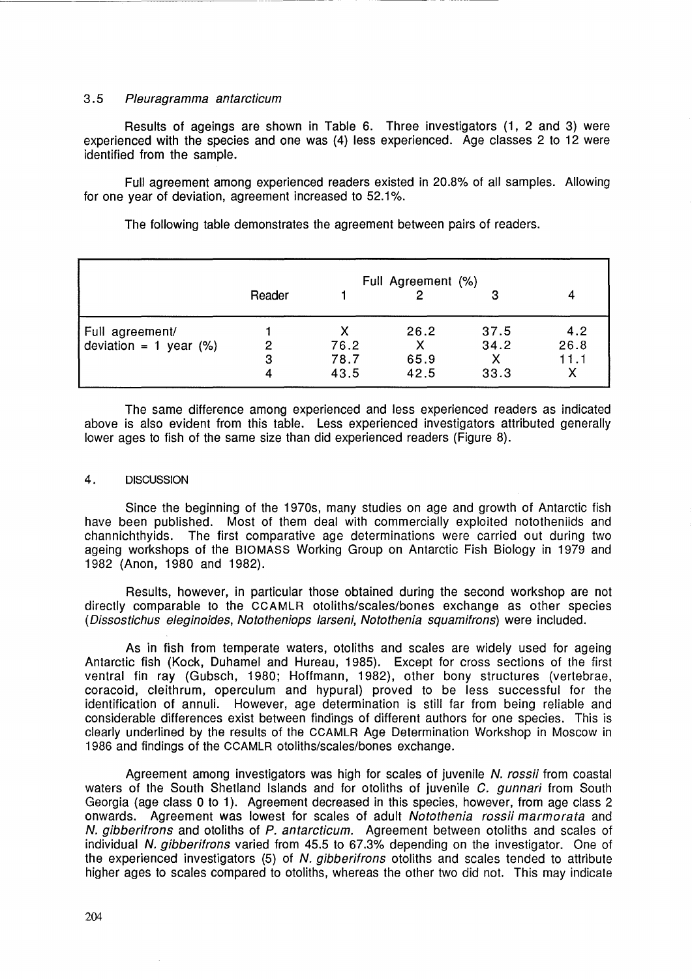#### 3.5 Pleuragramma antarcticum

Results of ageings are shown in Table 6. Three investigators (1, 2 and 3) were experienced with the species and one was (4) less experienced. Age classes 2 to 12 were identified from the sample.

Full agreement among experienced readers existed in 20.8% of all samples. Allowing for one year of deviation, agreement increased to 52.1%.

The following table demonstrates the agreement between pairs of readers.

|                           | Reader |      | Full Agreement (%) | 3    |      |
|---------------------------|--------|------|--------------------|------|------|
| Full agreement/           |        |      | 26.2               | 37.5 | 4.2  |
| deviation = 1 year $(\%)$ | 2      | 76.2 |                    | 34.2 | 26.8 |
|                           | 3      | 78.7 | 65.9               |      | 11.1 |
|                           | 4      | 43.5 | 42.5               | 33.3 |      |

The same difference among experienced and less experienced readers as indicated above is also evident from this table. Less experienced investigators attributed generally lower ages to fish of the same size than did experienced readers (Figure 8).

#### 4. DISCUSSION

Since the beginning of the 1970s, many studies on age and growth of Antarctic fish have been published. Most of them deal with commercially exploited nototheniids and channichthyids. The first comparative age determinations were carried out during two ageing workshops of the BIOMASS Working Group on Antarctic Fish Biology in 1979 and 1982 (Anon, 1980 and 1982).

Results, however, in particular those obtained during the second workshop are not directly comparable to the CCAMLR otoliths/scales/bones exchange as other species (Dissostichus eleginoides, Nototheniops larseni, Notothenia squamifrons) were included.

As in fish from temperate waters, otoliths and scales are widely used for ageing Antarctic fish (Kock, Duhamel and Hureau, 1985). Except for cross sections of the first ventral fin ray (Gubsch, 1980; Hoffmann, 1982), other bony structures (vertebrae, coracoid, cleithrum, operculum and hypural) proved to be less successful for the identification of annuli. However, age determination is still far from being reliable and considerable differences exist between findings of different authors for one species. This is clearly underlined by the results of the CCAMLR Age Determination Workshop in Moscow in 1986 and findings of the CCAMLR otoliths/scales/bones exchange.

Agreement among investigators was high for scales of juvenile N. rossii from coastal waters of the South Shetland Islands and for otoliths of juvenile C, *gunnari* from South Georgia (age class 0 to 1). Agreement decreased in this species, however, from age class 2 onwards. Agreement was lowest for scales of adult Notothenia rossii marmorata and N. gibberifrons and otoliths of P. antarcticum. Agreement between otoliths and scales of individual N. gibberifrons varied from 45.5 to 67.3% depending on the investigator. One of the experienced investigators (5) of N. gibberifrons otoliths and scales tended to attribute higher ages to scales compared to otoliths, whereas the other two did not. This may indicate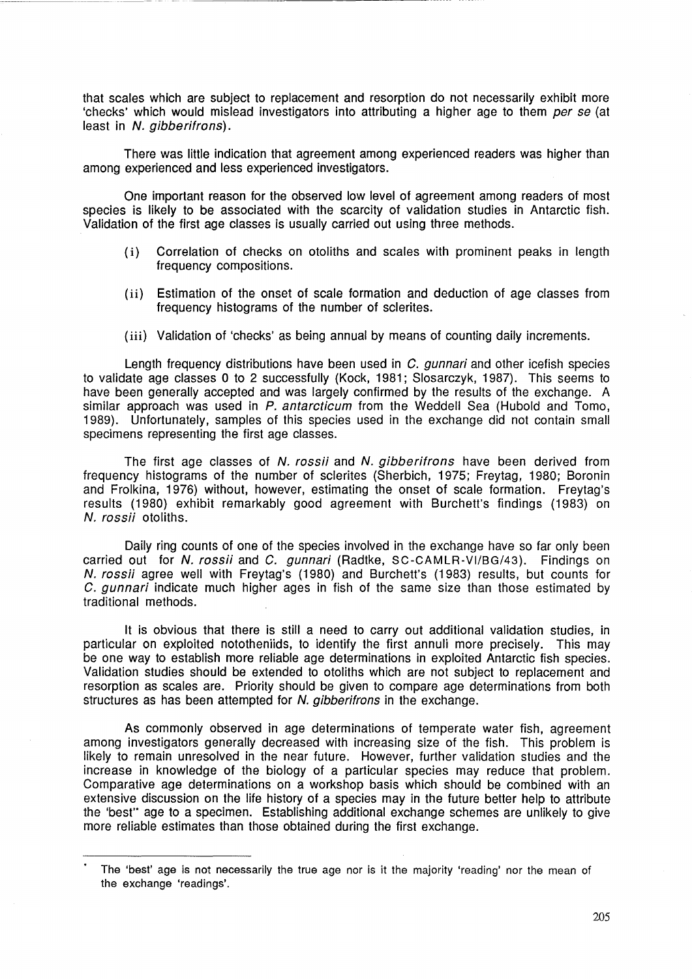that scales which are subject to replacement and resorption do not necessarily exhibit more 'checks' which would mislead investigators into attributing a higher age to them per se (at least in N. gibberifrons).

There was little indication that agreement among experienced readers was higher than among experienced and less experienced investigators.

One important reason for the observed low level of agreement among readers of most species is likely to be associated with the scarcity of validation studies in Antarctic fish. Validation of the first age classes is usually carried out using three methods.

- (i) Correlation of checks on otoliths and scales with prominent peaks in length frequency compositions.
- (ii) Estimation of the onset of scale formation and deduction of age classes from frequency histograms of the number of sclerites.
- (iii) Validation of 'checks' as being annual by means of counting daily increments.

Length frequency distributions have been used in C. *gunnari* and other icefish species to validate age classes 0 to 2 successfully (Kock, 1981; Slosarczyk, 1987). This seems to have been generally accepted and was largely confirmed by the results of the exchange. A similar approach was used in P. antarcticum from the Weddell Sea (Hubold and Tomo, 1989). Unfortunately, samples of this species used in the exchange did not contain small specimens representing the first age classes.

The first age classes of N. rossii and N. gibberifrons have been derived from frequency histograms of the number of sclerites (Sherbich, 1975; Freytag, 1980; Boronin and Frolkina, 1976) without, however, estimating the onset of scale formation. Freytag's results (1980) exhibit remarkably good agreement with Burchett's findings (1983) on N. rossii otoliths.

Daily ring counts of one of the species involved in the exchange have so far only been carried out for N. rossii and C. gunnari (Radtke, SC-CAMLR-VI/BG/43). Findings on N. rossii agree well with Freytag's (1980) and Burchett's (1983) results, but counts for C. gunnari indicate much higher ages in fish of the same size than those estimated by traditional methods.

It is obvious that there is still a need to carry out additional validation studies, in particular on exploited nototheniids, to identify the first annuli more precisely. This may be one way to establish more reliable age determinations in exploited Antarctic fish species. Validation studies should be extended to otoliths which are not subject to replacement and resorption as scales are. Priority should be given to compare age determinations from both structures as has been attempted for N. gibberifrons in the exchange.

As commonly observed in age determinations of temperate water fish, agreement among investigators generally decreased with increasing size of the fish. This problem is likely to remain unresolved in the near future. However, further validation studies and the increase in knowledge of the biology of a particular species may reduce that problem. Comparative age determinations on a workshop basis which should be combined with an extensive discussion on the life history of a species may in the future better help to attribute the 'best" age to a specimen. Establishing additional exchange schemes are unlikely to give more reliable estimates than those obtained during the first exchange.

The 'best' age is not necessarily the true age nor is it the majority 'reading' nor the mean of the exchange 'readings'.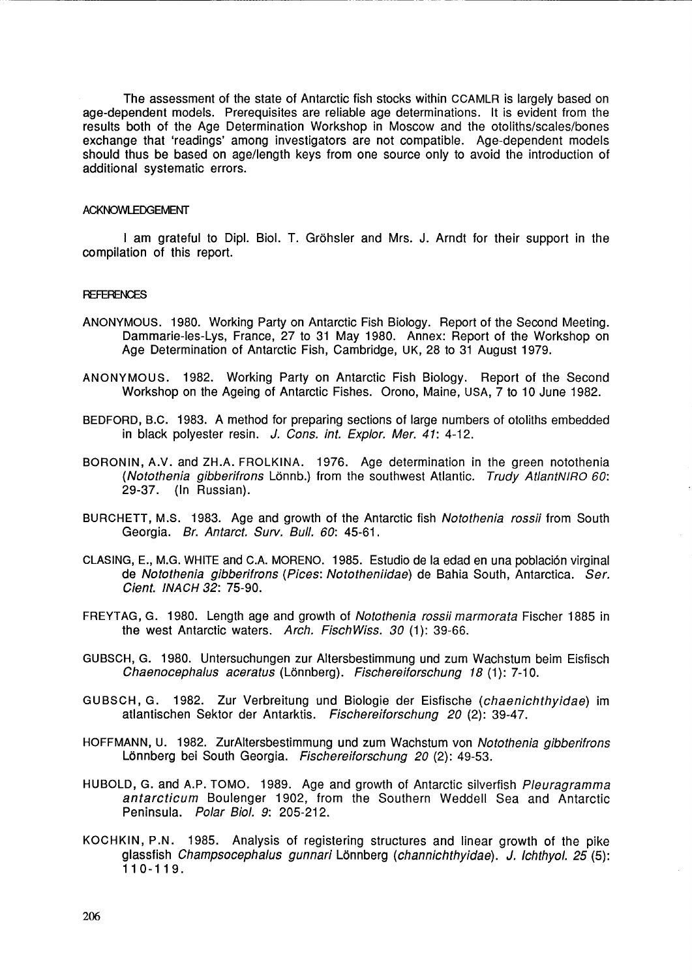The assessment of the state of Antarctic fish stocks within CCAMLR is largely based on age-dependent models. Prerequisites are reliable age determinations. It is evident from the results both of the Age Determination Workshop in Moscow and the otoliths/scales/bones exchange that 'readings' among investigators are not compatible. Age-dependent models should thus be based on age/length keys from one source only to avoid the introduction of additional systematic errors.

#### ACKNOWLEDGEMENT

--------------------- ----- ----- -

I am grateful to Dipl. BioI. T. Grohsler and Mrs. J. Arndt for their support in the compilation of this report.

#### **REFERENCES**

- ANONYMOUS. 1980. Working Party on Antarctic Fish Biology. Report of the Second Meeting. Dammarie-Ies-Lys, France, 27 to 31 May 1980. Annex: Report of the Workshop on Age Determination of Antarctic Fish, Cambridge, UK, 28 to 31 August 1979.
- ANONYMOUS. 1982. Working Party on Antarctic Fish Biology. Report of the Second Workshop on the Ageing of Antarctic Fishes. Orono, Maine, USA, 7 to 10 June 1982.
- BEDFORD, B.C. 1983. A method for preparing sections of large numbers of otoliths embedded in black polyester resin. J. Cons. int. Explor. Mer.  $41: 4-12$ .
- BORONIN, A.V. and ZH.A. FROLKINA. 1976. Age determination in the green notothenia (Notothenia gibberifrons Lönnb.) from the southwest Atlantic. Trudy AtlantNIRO 60: 29-37. (In Russian).
- BURCHETT, M.S. 1983. Age and growth of the Antarctic fish Notothenia rossii from South Georgia. Br. Antarct. Surv. Bull. 60: 45-61.
- CLASING, E., M.G. WHITE and C.A. MORENO. 1985. Estudio de la edad en una poblaci6n virginal de Notothenia gibberifrons (Pices: Nototheniidae) de Bahia South, Antarctica. Ser. Cient. INACH 32: 75-90.
- FREYTAG, G. 1980. Length age and growth of Notothenia rossii marmorata Fischer 1885 in the west Antarctic waters. Arch. FischWiss. 30 (1): 39-66.
- GUBSCH, G. 1980. Untersuchungen zur Altersbestimmung und zum Wachstum beim Eisfisch Chaenocephalus aceratus (Lönnberg). Fischereiforschung 18 (1): 7-10.
- GUBSCH, G. 1982. Zur Verbreitung und Biologie der Eisfische (chaenichthyidae) im atlantischen Sektor der Antarktis. Fischereiforschung 20 (2): 39-47.
- HOFFMANN, U. 1982. ZurAltersbestimmung und zum Wachstum von Notothenia gibberifrons Lönnberg bei South Georgia. Fischereiforschung 20 (2): 49-53.
- HUBOLD, G. and A.P. TOMO. 1989. Age and growth of Antarctic silverfish Pleuragramma antarcticum Boulenger 1902, from the Southern Weddell Sea and Antarctic Peninsula. Polar Biol. 9: 205-212.
- KOCHKIN, P.N. 1985. Analysis of registering structures and linear growth of the pike glassfish Champsocephalus gunnari Lonnberg (channichthyidae). J. Ichthyol. 25 (5): 110-119.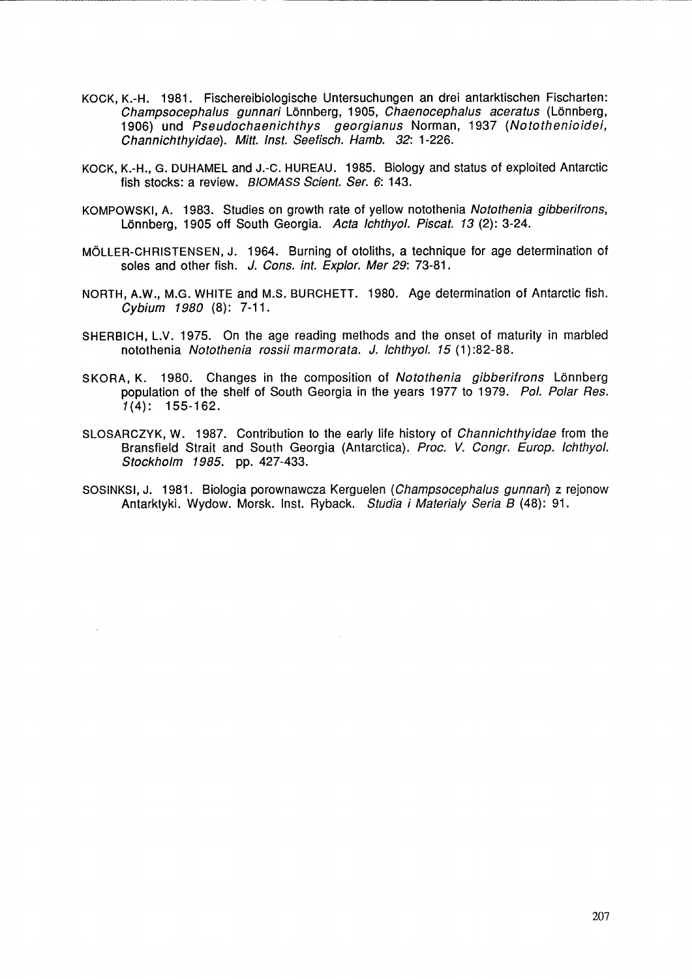KOCK, K.-H. 1981. Fischereibiologische Untersuchungen an drei antarktischen Fischarten: Champsocephalus gunnari Lönnberg, 1905, Chaenocephalus aceratus (Lönnberg, 1906) und Pseudochaenichthys georgianus Norman, 1937 (Notothenioidei, Ghannichthyidae). Mitt. Inst. Seefisch. Hamb. 32: 1-226.

------------------------

- KOCK, K.-H., G. DUHAMEL and J.-C. HUREAU. 1985. Biology and status of exploited Antarctic fish stocks: a review. BIOMASS Scient. Ser. 6: 143.
- KOMPOWSKI, A. 1983. Studies on growth rate of yellow notothenia Notothenia gibberifrons, Lönnberg, 1905 off South Georgia. Acta Ichthyol. Piscat. 13 (2): 3-24.
- MOLLER-CHRISTENSEN, J. 1964. Burning of otoliths, a technique for age determination of soles and other fish. J. Cons. int. Explor. Mer 29: 73-81.
- NORTH, A.W., M.G. WHITE and M.S. BURCHETT. 1980. Age determination of Antarctic fish. Gybium 1980 (8): 7-11.
- SHERBICH, L.V. 1975. On the age reading methods and the onset of maturity in marbled notothenia Notothenia rossii marmorata. J. Ichthyol. 15 (1):82-88.
- SKORA, K. 1980. Changes in the composition of Notothenia gibberifrons Lönnberg population of the shelf of South Georgia in the years 1977 to 1979. Pol. Polar Res.  $1(4): 155-162.$
- SLOSARCZYK, W. 1987. Contribution to the early life history of Ghannichthyidae from the Bransfield Strait and South Georgia (Antarctica). Proc. V. Gongr. Europ. Ichthyol. Stockholm 1985. pp. 427-433.
- SOSINKSI, J. 1981. Biologia porownawcza Kerguelen (Ghampsocephalus gunnan) z rejonow Antarktyki. Wydow. Morsk. Inst. Ryback. Studia i Materialy Seria B (48): 91.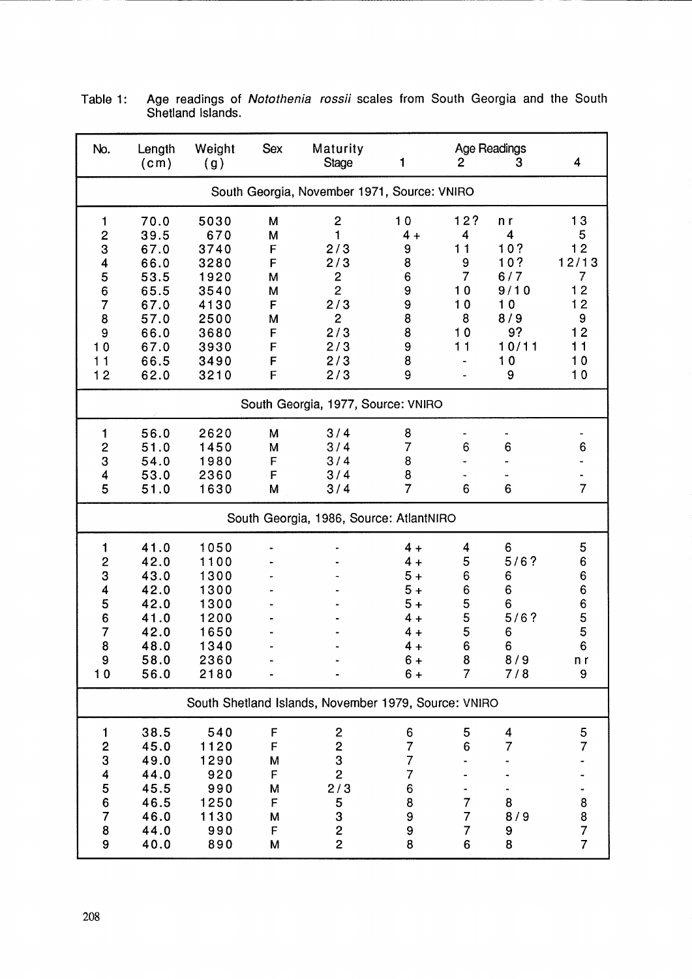| No.                                                                                            | Length<br>(c <sub>m</sub> )                                                                  | Weight<br>(g)                                                                               | <b>Sex</b>                                               | Maturity<br><b>Stage</b>                                                                                   | 1                                                                                 | $\overline{c}$                                                     | <b>Age Readings</b><br>3                                                     | 4                                                                                 |  |
|------------------------------------------------------------------------------------------------|----------------------------------------------------------------------------------------------|---------------------------------------------------------------------------------------------|----------------------------------------------------------|------------------------------------------------------------------------------------------------------------|-----------------------------------------------------------------------------------|--------------------------------------------------------------------|------------------------------------------------------------------------------|-----------------------------------------------------------------------------------|--|
| South Georgia, November 1971, Source: VNIRO                                                    |                                                                                              |                                                                                             |                                                          |                                                                                                            |                                                                                   |                                                                    |                                                                              |                                                                                   |  |
| 1<br>$\overline{\mathbf{c}}$<br>3<br>4<br>5<br>6<br>$\overline{7}$<br>8<br>9<br>10<br>11<br>12 | 70.0<br>39.5<br>67.0<br>66.0<br>53.5<br>65.5<br>67.0<br>57.0<br>66.0<br>67.0<br>66.5<br>62.0 | 5030<br>670<br>3740<br>3280<br>1920<br>3540<br>4130<br>2500<br>3680<br>3930<br>3490<br>3210 | M<br>M<br>F<br>F<br>M<br>M<br>F<br>M<br>F<br>F<br>F<br>F | $\mathbf 2$<br>1<br>2/3<br>2/3<br>2<br>$\overline{2}$<br>2/3<br>$\overline{c}$<br>2/3<br>2/3<br>2/3<br>2/3 | 10<br>$4 +$<br>9<br>8<br>6<br>9<br>9<br>8<br>8<br>9<br>8<br>9                     | 12?<br>4<br>11<br>9<br>$\overline{7}$<br>10<br>10<br>8<br>10<br>11 | n r<br>4<br>10?<br>10?<br>6/7<br>9/10<br>10<br>8/9<br>9?<br>10/11<br>10<br>9 | 13<br>5<br>12<br>12/13<br>$\overline{7}$<br>12<br>12<br>9<br>12<br>11<br>10<br>10 |  |
|                                                                                                |                                                                                              |                                                                                             |                                                          | South Georgia, 1977, Source: VNIRO                                                                         |                                                                                   |                                                                    |                                                                              |                                                                                   |  |
| 1<br>$\overline{\mathbf{c}}$<br>3<br>4<br>5                                                    | 56.0<br>51.0<br>54.0<br>53.0<br>51.0                                                         | 2620<br>1450<br>1980<br>2360<br>1630                                                        | M<br>M<br>F<br>F<br>М                                    | 3/4<br>3/4<br>3/4<br>3/4<br>3/4                                                                            | 8<br>7<br>8<br>8<br>$\overline{7}$                                                | 6<br>6                                                             | 6<br>6                                                                       | 6<br>$\overline{7}$                                                               |  |
|                                                                                                |                                                                                              |                                                                                             |                                                          | South Georgia, 1986, Source: AtlantNIRO                                                                    |                                                                                   |                                                                    |                                                                              |                                                                                   |  |
| 1<br>$\overline{\mathbf{c}}$<br>3<br>4<br>5<br>6<br>7<br>8<br>9<br>10                          | 41.0<br>42.0<br>43.0<br>42.0<br>42.0<br>41.0<br>42.0<br>48.0<br>58.0<br>56.0                 | 1050<br>1100<br>1300<br>1300<br>1300<br>1200<br>1650<br>1340<br>2360<br>2180                |                                                          |                                                                                                            | $4 +$<br>$4 +$<br>$5+$<br>$5+$<br>$5+$<br>$4 +$<br>$4 +$<br>$4 +$<br>$6+$<br>$6+$ | 4<br>5<br>6<br>6<br>5<br>5<br>5<br>6<br>8<br>$\overline{7}$        | 6<br>5/6?<br>6<br>6<br>6<br>5/6?<br>6<br>6<br>8/9<br>7/8                     | 5<br>6<br>6<br>6<br>6<br>5<br>5<br>6<br>n r<br>9                                  |  |
|                                                                                                |                                                                                              |                                                                                             |                                                          | South Shetland Islands, November 1979, Source: VNIRO                                                       |                                                                                   |                                                                    |                                                                              |                                                                                   |  |
| 1<br>$\frac{2}{3}$<br>4567<br>8<br>9                                                           | 38.5<br>45.0<br>49.0<br>44.0<br>45.5<br>46.5<br>46.0<br>44.0<br>40.0                         | 540<br>1120<br>1290<br>920<br>990<br>1250<br>1130<br>990<br>890                             | F<br>F<br>M<br>F<br>M<br>F<br>M<br>F<br>М                | $\overline{\mathbf{c}}$<br>$\overline{c}$<br>3<br>$\overline{c}$<br>2/3<br>5<br>3<br>$\frac{2}{2}$         | 6<br>$\overline{7}$<br>7<br>7<br>6<br>8<br>9<br>9<br>8                            | 5<br>6<br>7<br>7<br>7<br>6                                         | 4<br>$\overline{7}$<br>8<br>8/9<br>9<br>8                                    | 5<br>7<br>8<br>$\frac{8}{7}$<br>$\overline{7}$                                    |  |

Table 1: Age readings of Notothenia rossii scales from South Georgia and the South Shetland Islands.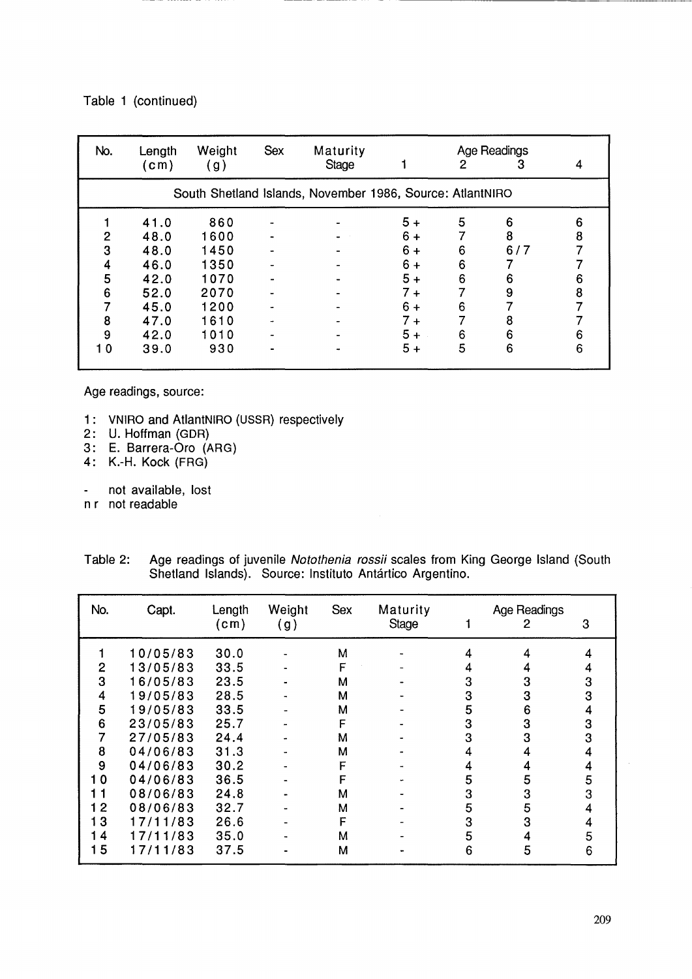### Table 1 (continued)

| No. | Length<br>(cm) | Weight<br>(g) | <b>Sex</b> | Maturity<br>Stage                                         |       | 2 | Age Readings<br>3 |   |
|-----|----------------|---------------|------------|-----------------------------------------------------------|-------|---|-------------------|---|
|     |                |               |            | South Shetland Islands, November 1986, Source: AtlantNIRO |       |   |                   |   |
|     | 41.0           | 860           |            |                                                           | $5+$  | 5 | 6                 | 6 |
| 2   | 48.0           | 1600          |            |                                                           | $6+$  |   | 8                 | 8 |
|     |                |               |            |                                                           |       |   |                   |   |
| 3   | 48.0           | 1450          |            |                                                           | $6+$  | 6 | 6/7               |   |
| 4   | 46.0           | 1350          |            |                                                           | $6+$  | 6 |                   |   |
| 5   | 42.0           | 1070          |            |                                                           | $5+$  | 6 | 6                 | 6 |
| 6   | 52.0           | 2070          |            |                                                           | $7 +$ |   | 9                 | 8 |
|     | 45.0           | 1200          |            |                                                           | $6+$  | 6 |                   |   |
| 8   | 47.0           | 1610          |            |                                                           | $7 +$ |   | 8                 |   |
| 9   | 42.0           | 1010          |            |                                                           | $5+$  | 6 | 6                 | 6 |
| 10  | 39.0           | 930           |            |                                                           | $5+$  | 5 | 6                 | 6 |

Age readings, source:

- 1: VNIRO and AtlantNIRO (USSR) respectively
- 2: U. Hoffman (GDR)
- 3: E. 8arrera-Oro (ARG)
- 4: K.-H. Kock (FRG)
- not available, lost  $\blacksquare$
- n r not readable

| Table 2: | Age readings of juvenile Notothenia rossii scales from King George Island (South |
|----------|----------------------------------------------------------------------------------|
|          | Shetland Islands). Source: Instituto Antártico Argentino.                        |

| No.                                         | Capt.                                                                                                                                        | Length<br>(c <sub>m</sub> )                                                                  | Weight<br>(g) | <b>Sex</b>                                          | Maturity<br>Stage |                                                     | Age Readings<br>2                              | 3                                    |
|---------------------------------------------|----------------------------------------------------------------------------------------------------------------------------------------------|----------------------------------------------------------------------------------------------|---------------|-----------------------------------------------------|-------------------|-----------------------------------------------------|------------------------------------------------|--------------------------------------|
| 2<br>3<br>4<br>5<br>6<br>8<br>9<br>10<br>11 | 10/05/83<br>13/05/83<br>16/05/83<br>19/05/83<br>19/05/83<br>23/05/83<br>27/05/83<br>04/06/83<br>04/06/83<br>04/06/83<br>08/06/83<br>08/06/83 | 30.0<br>33.5<br>23.5<br>28.5<br>33.5<br>25.7<br>24.4<br>31.3<br>30.2<br>36.5<br>24.8<br>32.7 |               | M<br>F<br>м<br>м<br>м<br>F<br>м<br>м<br>F<br>F<br>м |                   | 4<br>4<br>3<br>3<br>5<br>3<br>3<br>4<br>4<br>5<br>3 | 4<br>4<br>3<br>3<br>6<br>3<br>3<br>4<br>5<br>3 | 4<br>3<br>3<br>4<br>3<br>3<br>5<br>3 |
| 12<br>13<br>14<br>15                        | 17/11/83<br>17/11/83<br>17/11/83                                                                                                             | 26.6<br>35.0<br>37.5                                                                         |               | М<br>F<br>М<br>М                                    |                   | 5<br>3<br>5<br>6                                    | 5<br>3<br>4<br>5                               | 5<br>6                               |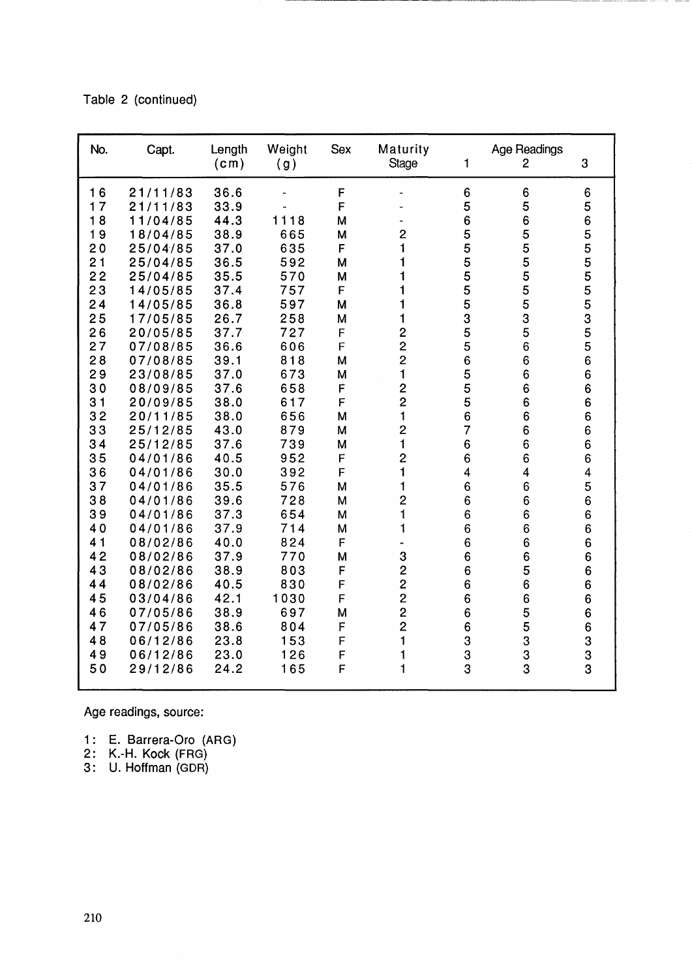Table 2 (continued)

| No.      | Capt.                | Length<br>(c <sub>m</sub> ) | Weight<br>(g) | <b>Sex</b>  | Maturity<br><b>Stage</b> | 1                    | Age Readings<br>$\overline{2}$ | 3                       |
|----------|----------------------|-----------------------------|---------------|-------------|--------------------------|----------------------|--------------------------------|-------------------------|
| 16<br>17 | 21/11/83<br>21/11/83 | 36.6<br>33.9                |               | F<br>F      |                          | $6\phantom{1}6$<br>5 | 6<br>5                         | 6<br>5                  |
| 18       | 11/04/85             | 44.3                        | 1118          | M           |                          | $\boldsymbol{6}$     | 6                              | 6                       |
| 19       | 18/04/85             | 38.9                        | 665           | M           | $\overline{2}$           |                      |                                | 5                       |
| 20       | 25/04/85             | 37.0                        | 635           | F           | 1                        | 55555                | 55555                          |                         |
| 21       | 25/04/85             | 36.5                        | 592           | м           | 1                        |                      |                                | 5<br>5<br>5<br>5        |
| 22       | 25/04/85             | 35.5                        | 570           | M           | 1                        |                      |                                |                         |
| 23       | 14/05/85             | 37.4                        | 757           | F           | 1                        |                      |                                | 5                       |
| 24       | 14/05/85             | 36.8                        | 597           | M           | 1                        | 5                    | 5                              | 5                       |
| 25       | 17/05/85             | 26.7                        | 258           | M           | $\mathbf{1}$             | 3                    | 3                              | 3                       |
| 26       | 20/05/85             | 37.7                        | 727           | F           | $\overline{c}$           | 5                    | 5                              | 5                       |
| 27       | 07/08/85             | 36.6                        | 606           | F           | $\overline{2}$           | 5                    | 6                              | 5                       |
| 28       | 07/08/85             | 39.1                        | 818           | M           | $\overline{2}$           | 6                    | 6                              | 6                       |
| 29       | 23/08/85             | 37.0                        | 673           | M           | 1                        | 5                    | 6                              | $\bf 6$                 |
| 30       | 08/09/85             | 37.6                        | 658           | F           | $\overline{2}$           | 5                    | 6                              | 6                       |
| 31       | 20/09/85             | 38.0                        | 617           | F           | $\overline{c}$           | 5                    | 6                              | 6                       |
| 32       | 20/11/85             | 38.0                        | 656           | M           | $\mathbf{1}$             | 6                    | $\overline{6}$                 | 6                       |
| 33       | 25/12/85             | 43.0                        | 879           | M           | $\overline{2}$           | $\overline{7}$       | 6                              | 6                       |
| 34       | 25/12/85             | 37.6                        | 739           | M           | $\mathbf{1}$             | $\,6\,$              | 6                              | 6                       |
| 35       | 04/01/86             | 40.5                        | 952           | F           | $\overline{c}$           | $\boldsymbol{6}$     | 6                              | 6                       |
| 36       | 04/01/86             | 30.0                        | 392           | F           | 1                        | 4                    | 4                              | $\overline{\mathbf{4}}$ |
| 37       | 04/01/86             | 35.5                        | 576           | M           | 1                        | $\boldsymbol{6}$     | 6                              | 5                       |
| 38       | 04/01/86             | 39.6                        | 728           | M           | $\overline{c}$           | 6                    | 6                              | 6                       |
| 39       | 04/01/86             | 37.3                        | 654           | M           | 1                        | 6                    | 6                              | 6                       |
| 40       | 04/01/86             | 37.9                        | 714           | M           | 1                        | 6                    | 6                              | 6                       |
| 41       | 08/02/86             | 40.0                        | 824           | F           |                          | 6                    | 6                              | 6                       |
| 42       | 08/02/86             | 37.9                        | 770           | M           | 3                        | 6                    | 6                              | 6                       |
| 43       | 08/02/86             | 38.9                        | 803           | F           | $\overline{c}$           | 6                    | 5                              | 6                       |
| 44       | 08/02/86             | 40.5                        | 830           | F           | $\overline{2}$           | 6                    | $\overline{6}$                 | 6                       |
| 45       | 03/04/86             | 42.1                        | 1030          | F           | $\overline{2}$           | 6                    | 6                              | 6                       |
| 46       | 07/05/86             | 38.9                        | 697           | M           | $\overline{c}$           | 6                    | 5                              | 6                       |
| 47       | 07/05/86             | 38.6                        | 804           | F           | $\overline{2}$           | 6                    | 5                              | 6                       |
| 48       | 06/12/86             | 23.8                        | 153           | F           | $\mathbf{1}$             | 3                    | 3                              | 3                       |
| 49       | 06/12/86             | 23.0                        | 126           | $\mathsf F$ | 1                        | 3                    | $\frac{3}{3}$                  | 3                       |
| 50       | 29/12/86             | 24.2                        | 165           | F           | $\mathbf 1$              | 3                    |                                | 3                       |

~~~~~~~~~~~~~~~~------------

Age readings, source:

- 1: E. Barrera-Oro (ARG)
- 2: K.-H. Kock (FRG)
- 3: U. Hoffman (GDR)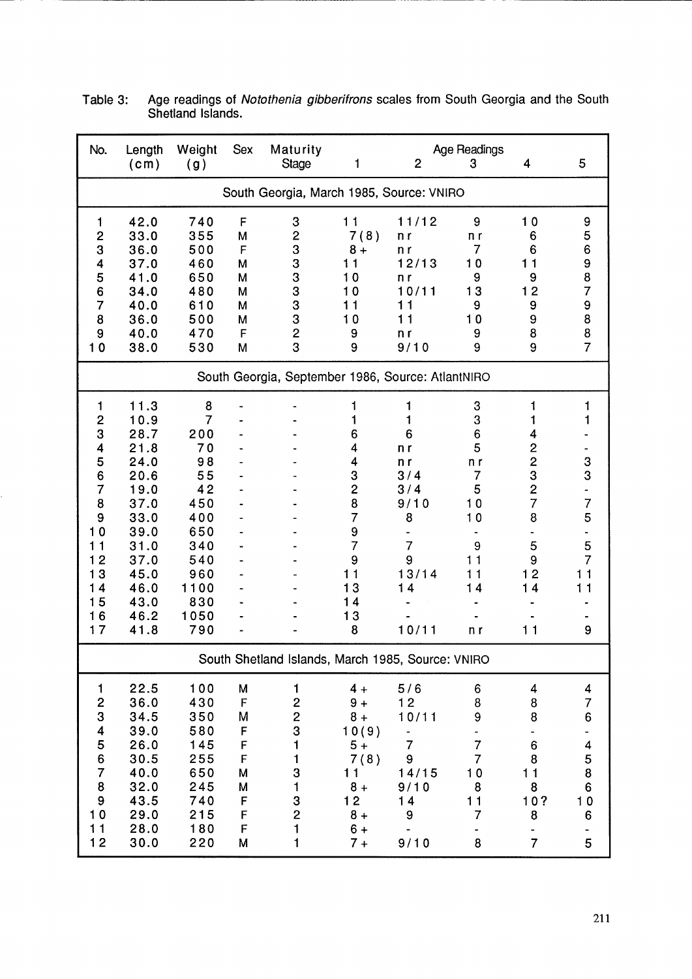| No.                                                                                                                                            | Length<br>(c <sub>m</sub> )                                                                                                          | Weight<br>(g)                                                                                                 | <b>Sex</b>                                                         | Maturity<br>Stage                                                                                                         | 1                                                                                                                                    | $\overline{2}$                                                                         | Age Readings<br>3                                                           | 4                                                                                                                            | 5                                                                     |
|------------------------------------------------------------------------------------------------------------------------------------------------|--------------------------------------------------------------------------------------------------------------------------------------|---------------------------------------------------------------------------------------------------------------|--------------------------------------------------------------------|---------------------------------------------------------------------------------------------------------------------------|--------------------------------------------------------------------------------------------------------------------------------------|----------------------------------------------------------------------------------------|-----------------------------------------------------------------------------|------------------------------------------------------------------------------------------------------------------------------|-----------------------------------------------------------------------|
|                                                                                                                                                |                                                                                                                                      |                                                                                                               |                                                                    | South Georgia, March 1985, Source: VNIRO                                                                                  |                                                                                                                                      |                                                                                        |                                                                             |                                                                                                                              |                                                                       |
| 1<br>$\mathbf 2$<br>3<br>4<br>5<br>6<br>$\overline{7}$<br>8<br>9<br>10                                                                         | 42.0<br>33.0<br>36.0<br>37.0<br>41.0<br>34.0<br>40.0<br>36.0<br>40.0<br>38.0                                                         | 740<br>355<br>500<br>460<br>650<br>480<br>610<br>500<br>470<br>530                                            | F<br>M<br>F<br>M<br>M<br>M<br>M<br>M<br>F<br>M                     | $\boldsymbol{3}$<br>$\mathbf{2}$<br>3<br>3<br>3<br>3<br>3<br>3<br>$\overline{\mathbf{c}}$<br>3                            | 11<br>7(8)<br>$8+$<br>11<br>10<br>$\mathbf 0$<br>$\mathbf{1}$<br>10<br>9<br>9                                                        | 11/12<br>n r<br>n r<br>12/13<br>n r<br>10/11<br>11<br>11<br>n r<br>9/10                | 9<br>n r<br>7<br>10<br>9<br>13<br>9<br>10<br>9<br>9                         | 10<br>6<br>6<br>11<br>9<br>12<br>9<br>9<br>8<br>9                                                                            | 9<br>5<br>6<br>9<br>8<br>7<br>9<br>8<br>8<br>$\overline{7}$           |
|                                                                                                                                                |                                                                                                                                      |                                                                                                               |                                                                    | South Georgia, September 1986, Source: AtlantNIRO                                                                         |                                                                                                                                      |                                                                                        |                                                                             |                                                                                                                              |                                                                       |
| 1<br>$\overline{c}$<br>3<br>4<br>5<br>6<br>$\overline{7}$<br>8<br>9<br>$\mathbf 0$<br>$\mathbf 1$<br>$\overline{2}$<br>3<br>4<br>5<br>16<br>17 | 11.3<br>10.9<br>28.7<br>21.8<br>24.0<br>20.6<br>19.0<br>37.0<br>33.0<br>39.0<br>31.0<br>37.0<br>45.0<br>46.0<br>43.0<br>46.2<br>41.8 | 8<br>7<br>200<br>70<br>98<br>55<br>42<br>450<br>400<br>650<br>340<br>540<br>960<br>1100<br>830<br>1050<br>790 |                                                                    |                                                                                                                           | 1<br>1<br>6<br>4<br>4<br>3<br>$\overline{\mathbf{c}}$<br>8<br>$\overline{7}$<br>9<br>$\overline{7}$<br>9<br>11<br>3<br>14<br>13<br>8 | 1<br>1<br>6<br>n r<br>n r<br>3/4<br>3/4<br>9/10<br>8<br>7<br>9<br>13/14<br>14<br>10/11 | 3<br>3<br>6<br>5<br>n r<br>7<br>5<br>10<br>10<br>9<br>11<br>11<br>14<br>n r | 1<br>1<br>4<br>$\overline{\mathbf{c}}$<br>$\frac{2}{3}$<br>$\overline{c}$<br>$\overline{7}$<br>8<br>5<br>9<br>12<br>14<br>11 | 1<br>1<br>3<br>3<br>7<br>5<br>5<br>7<br>11<br>11<br>9                 |
|                                                                                                                                                |                                                                                                                                      |                                                                                                               |                                                                    | South Shetland Islands, March 1985, Source: VNIRO                                                                         |                                                                                                                                      |                                                                                        |                                                                             |                                                                                                                              |                                                                       |
| 1<br>2<br>3<br>4<br>5<br>6<br>$\overline{7}$<br>8<br>9<br>10<br>11<br>12                                                                       | 22.5<br>36.0<br>34.5<br>39.0<br>26.0<br>30.5<br>40.0<br>32.0<br>43.5<br>29.0<br>28.0<br>30.0                                         | 100<br>430<br>350<br>580<br>145<br>255<br>650<br>245<br>740<br>215<br>180<br>220                              | M<br>$\mathsf F$<br>Μ<br>F<br>F<br>F<br>M<br>M<br>F<br>F<br>F<br>M | 1<br>$\overline{\mathbf{c}}$<br>$\overline{c}$<br>3<br>1<br>1<br>$\bf 3$<br>$\mathbf{1}$<br>3<br>$\overline{c}$<br>1<br>1 | $4 +$<br>$9+$<br>$8+$<br>10(9)<br>$5+$<br>7(8)<br>11<br>$8+$<br>12<br>$8+$<br>$6 +$<br>$7 +$                                         | 5/6<br>12<br>10/11<br>-<br>7<br>9<br>14/15<br>9/10<br>14<br>9<br>9/10                  | 6<br>8<br>9<br>7<br>$\overline{7}$<br>10<br>8<br>11<br>7<br>8               | 4<br>8<br>8<br>$\boldsymbol{6}$<br>8<br>11<br>8<br>10?<br>8<br>$\overline{7}$                                                | 4<br>$\overline{7}$<br>6<br>4<br>$\frac{5}{8}$<br>6<br>$10$<br>6<br>5 |

Table 3: Age readings of Notothenia gibberifrons scales from South Georgia and the South Shetland Islands.

----------------------------- --- -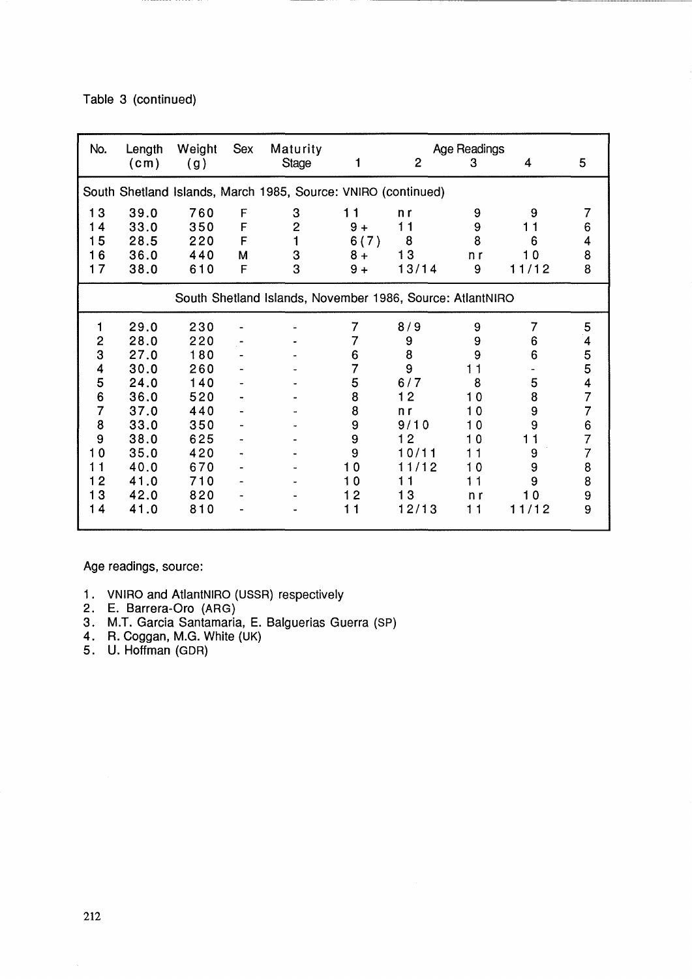Table 3 (continued)

| No.            | Length<br>(cm)                                            | Weight<br>(g) | Sex | Maturity<br><b>Stage</b>                                      |                | $\overline{2}$ | Age Readings<br>3 | 4                 | 5              |  |  |
|----------------|-----------------------------------------------------------|---------------|-----|---------------------------------------------------------------|----------------|----------------|-------------------|-------------------|----------------|--|--|
|                |                                                           |               |     |                                                               |                |                |                   |                   |                |  |  |
|                |                                                           |               |     | South Shetland Islands, March 1985, Source: VNIRO (continued) |                |                |                   |                   |                |  |  |
| 13             | 39.0                                                      | 760           | F   | 3                                                             | 11             | n r            | 9                 | 9                 | 7              |  |  |
| 14             | 33.0                                                      | 350           | F   | $\overline{2}$                                                | $9+$           | 11             | 9                 | 1                 | 6              |  |  |
| 15             | 28.5                                                      | 220           | F   | 1                                                             | 6(7)           | 8              | 8                 | 6                 | 4              |  |  |
| 16             | 36.0                                                      | 440           | M   | 3                                                             | $8+$           | 13             | n r               | 10                | 8              |  |  |
| 17             | 38.0                                                      | 610           | F   | 3                                                             | $9+$           | 13/14          | 9                 | 11/12             | 8              |  |  |
|                | South Shetland Islands, November 1986, Source: AtlantNIRO |               |     |                                                               |                |                |                   |                   |                |  |  |
| 1              | 29.0                                                      | 230           |     |                                                               | 7              | 8/9            | 9                 | 7                 | 5              |  |  |
| 2              | 28.0                                                      | 220           |     |                                                               | 7              | 9              | 9                 | 6                 | 4              |  |  |
| 3              | 27.0                                                      | 180           |     |                                                               | 6              | 8              | 9                 | 6                 |                |  |  |
| 4              | 30.0                                                      | 260           |     |                                                               | $\overline{7}$ | 9              | 11                |                   | 5<br>5         |  |  |
| 5              | 24.0                                                      | 140           |     |                                                               | 5              | 6/7            | 8                 | 5                 | 4              |  |  |
| 6              | 36.0                                                      | 520           |     |                                                               | 8              | 12             | 10                | 8                 | 7              |  |  |
| 7              | 37.0                                                      | 440           |     |                                                               | 8              | n r            | 10                | 9                 | $\overline{7}$ |  |  |
| 8              | 33.0                                                      | 350           |     |                                                               | 9              | 9/10           | 10                | 9                 | 6              |  |  |
| 9              | 38.0                                                      | 625           |     |                                                               | 9              | 12             | 10                | $\mathbf{1}$<br>1 | 7              |  |  |
| 10             | 35.0                                                      | 420           |     |                                                               | 9              | 10/11          | 11                | 9                 | 7              |  |  |
| 11             | 40.0                                                      | 670           |     |                                                               | $\mathbf 0$    | 11/12          | 10                | 9                 | 8              |  |  |
| $\overline{2}$ | 41.0                                                      | 710           |     |                                                               | $\mathbf 0$    | 11             | 11                | 9                 | 8              |  |  |
| 13             | 42.0                                                      | 820           |     |                                                               | $\overline{2}$ | 13             | n r               | 10                | 9              |  |  |
| 14             | 41.0                                                      | 810           |     |                                                               | 11             | 12/13          | 11                | 11/12             | 9              |  |  |
|                |                                                           |               |     |                                                               |                |                |                   |                   |                |  |  |

Age readings, source:

- 1. VNIRO and AtlantNIRO (USSR) respectively
- 2. E. Barrera-Oro (ARG)
- 3. M.T. Garcia Santamaria, E. Balguerias Guerra (SP)
- 4. R. Coggan, M.G. White (UK)
- 5. U. Hoffman (GDR)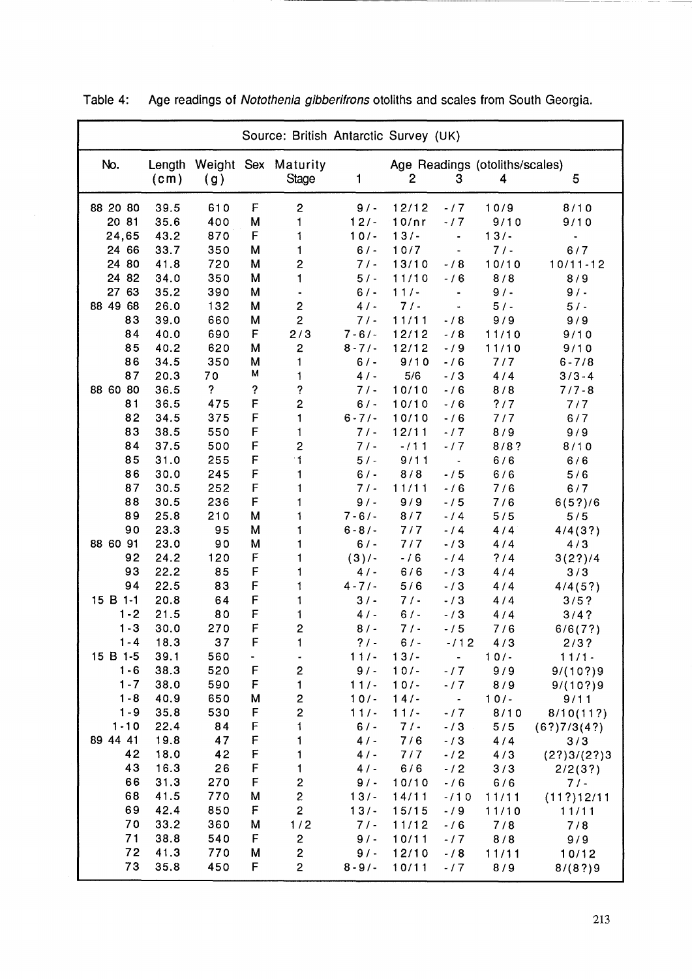| Source: British Antarctic Survey (UK) |                             |           |             |                              |               |                |                          |                                     |                      |
|---------------------------------------|-----------------------------|-----------|-------------|------------------------------|---------------|----------------|--------------------------|-------------------------------------|----------------------|
| No.                                   | Length<br>(c <sub>m</sub> ) | (g)       |             | Weight Sex Maturity<br>Stage | 1             | $\overline{2}$ | 3                        | Age Readings (otoliths/scales)<br>4 | 5                    |
| 88 20 80                              | 39.5                        | 610       | F           | $\mathbf{2}$                 | 9/            | 12/12          | $-17$                    | 10/9                                | 8/10                 |
| 20 81                                 | 35.6                        | 400       | M           | 1                            | $12/ -$       | 10/nr          | $-17$                    | 9/10                                | 9/10                 |
| 24,65                                 | 43.2                        | 870       | F           | 1                            | $10/-$        | $13/ -$        | $\overline{\phantom{a}}$ | $13/-$                              |                      |
| 24 66                                 | 33.7                        | 350       | M           | 1                            | $6/$ -        | 10/7           | $\frac{1}{2}$            | $7/1 -$                             | 6/7                  |
| 24 80                                 | 41.8                        | 720       | M           | $\overline{c}$               | 7/            | 13/10          | $-/8$                    | 10/10                               | $10/11 - 12$         |
| 24 82                                 | 34.0                        | 350       | M           | 1                            | $5/ -$        | 11/10          | $-16$                    | 8/8                                 | 8/9                  |
| 27 63                                 | 35.2                        | 390       | M           |                              | $6/ -$        | $11/-$         |                          | 9/                                  | 9/1                  |
| 88 49 68                              | 26.0                        | 132       | M           | $\overline{\mathbf{c}}$      | 4/            | $7/1 -$        |                          | $5/ -$                              | $5/ -$               |
| 83                                    | 39.0                        | 660       | M           | $\overline{2}$               | 7/            | 11/11          | $-/8$                    | 9/9                                 | 9/9                  |
| 84                                    | 40.0                        | 690       | F           | 2/3                          | $7 - 6/ -$    | 12/12          | $-/8$                    | 11/10                               | 9/10                 |
| 85                                    | 40.2                        | 620       | M           | $\overline{c}$               | $8 - 7/$      | 12/12          | $-19$                    | 11/10                               | 9/10                 |
| 86                                    | 34.5                        | 350       | M           | 1                            | $6/ -$        | 9/10           | $-/6$                    | 7/7                                 | $6 - 7/8$            |
| 87                                    | 20.3                        | 70        | M           | 1                            | 4/            | 5/6            | $-13$                    | 4/4                                 | $3/3 - 4$            |
| 88 60 80                              | 36.5                        | ?         | ?           | ?                            | 7/            | 10/10          | $-/6$                    | 8/8                                 | $7/7 - 8$            |
| 81                                    | 36.5                        | 475       | F           | $\overline{\mathbf{c}}$      | $6/ -$        | 10/10          | $-16$                    | ?/7                                 | 7/7                  |
| 82                                    | 34.5                        | 375       | F           | 1                            | $6 - 7/$      | 10/10          | $-/6$                    | 7/7                                 | 6/7                  |
| 83                                    | 38.5                        | 550       | F           | 1                            | $7/ -$        | 12/11          | $-17$                    | 8/9                                 | 9/9                  |
| 84                                    | 37.5                        | 500       | F           | 2                            | 7/            | $-111$         | $-17$                    | 8/8?                                | 8/10                 |
| 85                                    | 31.0                        | 255       | F           | $\cdot$ 1                    | $5/ -$        | 9/11           | $\blacksquare$           | 6/6                                 | 6/6                  |
| 86                                    | 30.0                        | 245       | F           | 1                            | $6/ -$        | 8/8            | $-15$                    | 6/6                                 | 5/6                  |
| 87                                    | 30.5                        | 252       | F           | 1                            | 7/            | 11/11          | $- / 6$                  | 7/6                                 | 6/7                  |
| 88                                    | 30.5                        | 236       | F           |                              | $9/ -$        | 9/9            | $-15$                    | 7/6                                 | 6(5?)/6              |
| 89                                    | 25.8                        | 210       | M           | 1                            | $7 - 6/ -$    | 8/7            | $-14$                    | 5/5                                 | 5/5                  |
| 90                                    | 23.3                        | 95        | M           |                              | $6 - 8/$      | $7/7$          | $-14$                    | 4/4                                 | 4/4(3?)              |
| 88 60 91                              | 23.0                        | 90        | M           |                              | 6/            | 7/7            | $- / 3$                  | 4/4                                 | 4/3                  |
| 92                                    | 24.2                        | 120       | F           |                              | $(3)/-$       | $-16$          | $-14$                    | ?14                                 | 3(2?)/4              |
| 93                                    | 22.2                        | 85        | F           |                              | 4/            | 6/6            | $-13$                    | 4/4                                 | 3/3                  |
| 94                                    | 22.5                        | 83        | F           |                              | $4 - 7/$      | 5/6            | $-13$                    | 4/4                                 | 4/4(5?)              |
| 15 B 1-1<br>$1 - 2$                   | 20.8                        | 64        | F           |                              | $3/$ -        | $7/ -$         | $-13$                    | 4/4                                 | 3/5?                 |
| $1 - 3$                               | 21.5<br>30.0                | 80<br>270 | F<br>F      |                              | 4/            | 6/<br>7/       | $- / 3$                  | 4/4                                 | 3/4?                 |
| $1 - 4$                               | 18.3                        | 37        | $\mathsf F$ | $\overline{c}$               | 8/<br>$? / -$ | 6/             | $-15$<br>$-112$          | 7/6                                 | 6/6(7?)              |
| 15 B 1-5                              | 39.1                        | 560       | ۰           | 1                            | $11/-$        | $13/ -$        | $\blacksquare$           | 4/3<br>$10/-$                       | 2/3?                 |
| $1 - 6$                               | 38.3                        | 520       | F           | $\overline{\mathbf{c}}$      | $9/$ -        | $10/-$         | $-17$                    | 9/9                                 | $11/1 -$<br>9/(10?)9 |
| $1 - 7$                               | 38.0                        | 590       | F           | 1                            | $11/-$        | $10/-$         | $-17$                    | 8/9                                 | 9/(10?)9             |
| $1 - 8$                               | 40.9                        | 650       | M           | 2                            | $10/-$        | 14/            | $\blacksquare$           | $10/-$                              | 9/11                 |
| $1 - 9$                               | 35.8                        | 530       | F           | $\overline{\mathbf{c}}$      | $111 -$       | $11/-$         | $-17$                    | 8/10                                | 8/10(11?)            |
| $1 - 10$                              | 22.4                        | 84        | F           | 1                            | $6/ -$        | 7/             | $- / 3$                  | 5/5                                 | (6?)7/3(4?)          |
| 89 44 41                              | 19.8                        | 47        | F           | 1                            | 4/            | 7/6            | $-13$                    | 4/4                                 | 3/3                  |
| 42                                    | 18.0                        | 42        | F           | 1                            | 4/            | 7/7            | $-/2$                    | 4/3                                 | (2?)3/(2?)3          |
| 43                                    | 16.3                        | 26        | F           | 1                            | 4/            | 6/6            | $-12$                    | 3/3                                 | 2/2(3?)              |
| 66                                    | 31.3                        | 270       | $\mathsf F$ | $\overline{\mathbf{c}}$      | $9/$ -        | 10/10          | $-/6$                    | 6/6                                 | 7/                   |
| 68                                    | 41.5                        | 770       | M           | $\mathbf{2}$                 | $13/ -$       | 14/11          | $-110$                   | 11/11                               | (11?)12/11           |
| 69                                    | 42.4                        | 850       | F           | $\overline{c}$               | $13/ -$       | 15/15          | $- / 9$                  | 11/10                               | 11/11                |
| 70                                    | 33.2                        | 360       | M           | 1/2                          | 7/1           | 11/12          | $-16$                    | 7/8                                 | 7/8                  |
| 71                                    | 38.8                        | 540       | F           | 2                            | $9/$ -        | 10/11          | $-17$                    | 8/8                                 | 9/9                  |
| 72                                    | 41.3                        | 770       | M           | $\mathbf{z}$                 | 9/            | 12/10          | $-/8$                    | 11/11                               | 10/12                |
| 73                                    | 35.8                        | 450       | F           | $\overline{2}$               | $8 - 9/$      | 10/11          | $-17$                    | 8/9                                 | 8/(8?)9              |
|                                       |                             |           |             |                              |               |                |                          |                                     |                      |

Table 4: Age readings of Notothenia gibberifrons otoliths and scales from South Georgia.

 $\bar{\beta}$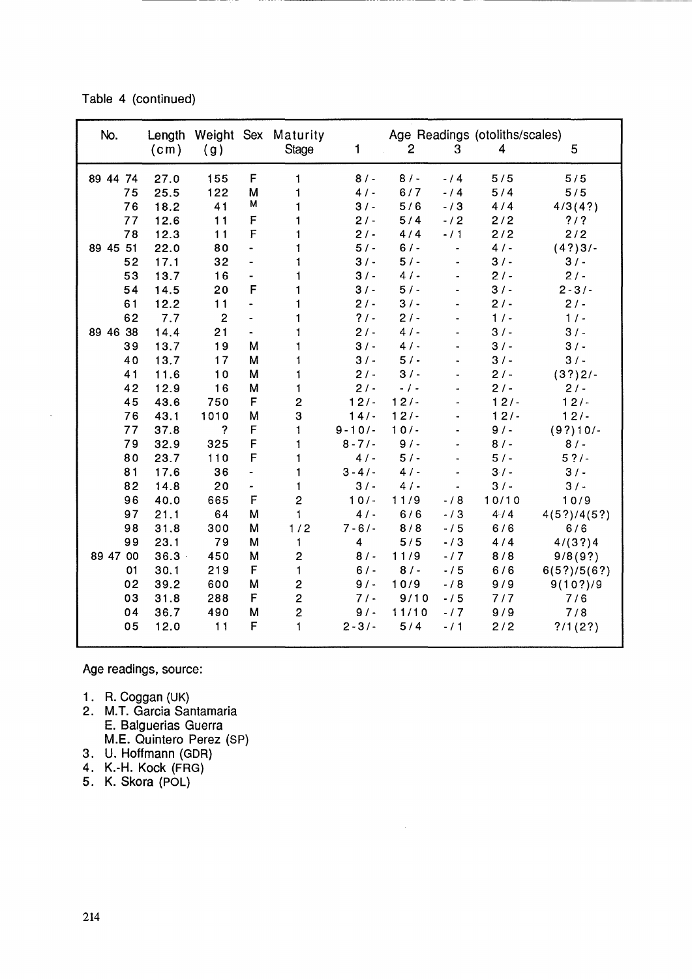Table 4 (continued)

------ -

| No.      | Age Readings (otoliths/scales)<br>Length Weight Sex Maturity |                |                          |                         |                |              |                |        |             |
|----------|--------------------------------------------------------------|----------------|--------------------------|-------------------------|----------------|--------------|----------------|--------|-------------|
|          | (c <sub>m</sub> )                                            | (g)            |                          | <b>Stage</b>            | 1              | $\mathbf{2}$ | 3              | 4      | 5           |
| 89 44 74 | 27.0                                                         | 155            | F                        | 1                       | 8/             | 8/           | $-14$          | 5/5    | 5/5         |
| 75       | 25.5                                                         | 122            | M                        | 1                       | 4/             | 6/7          | $-14$          | 5/4    | 5/5         |
| 76       | 18.2                                                         | 41             | M                        |                         | 3/             | 5/6          | $-13$          | 4/4    | 4/3(4?)     |
| 77       | 12.6                                                         | 11             | F                        |                         | $2/ -$         | 5/4          | $-12$          | 2/2    | $?$ / ?     |
| 78       | 12.3                                                         | 11             | F                        |                         | $2/ -$         | 4/4          | $-11$          | 2/2    | 2/2         |
| 89 45 51 | 22.0                                                         | 80             | $\overline{\phantom{0}}$ |                         | $5/ -$         | $6/$ -       | $\frac{1}{2}$  | 4/     | $(4?)3/-$   |
| 52       | 17.1                                                         | 32             | $\blacksquare$           | 1                       | 3/             | $5/ -$       |                | 3/     | 3/          |
| 53       | 13.7                                                         | 16             | Ξ.                       |                         | 3/             | 4/           |                | $2/ -$ | $2/ -$      |
| 54       | 14.5                                                         | 20             | F                        | 1                       | $3/$ -         | 5/           |                | $3/$ - | $2 - 3/$    |
| 61       | 12.2                                                         | 11             | $\ddot{\phantom{1}}$     | 1                       | $2/ -$         | 3/           |                | $2/ -$ | $2/ -$      |
| 62       | 7.7                                                          | $\overline{2}$ | $\overline{\phantom{0}}$ | 1                       | $? / -$        | $2/ -$       |                | 1/4    | 1/2         |
| 89 46 38 | 14.4                                                         | 21             | $\blacksquare$           | 1                       | $2/ -$         | 4/           |                | 3/     | $3/$ -      |
| 39       | 13.7                                                         | 19             | M                        |                         | 3/             | 4/           |                | 3/     | 3/          |
| 40       | 13.7                                                         | 17             | M                        |                         | 3/             | 5/           |                | 3/     | 3/          |
| 41       | 11.6                                                         | 10             | M                        | 1                       | $2/ -$         | 3/           |                | $2/ -$ | (3?)2/      |
| 42       | 12.9                                                         | 16             | M                        | 1                       | $2/ -$         | $-1 -$       |                | $2/ -$ | $2/ -$      |
| 45       | 43.6                                                         | 750            | F                        | $\overline{c}$          | $12/ -$        | $12/ -$      |                | $12/-$ | 12/         |
| 76       | 43.1                                                         | 1010           | M                        | 3                       | 14/            | $12/ -$      |                | $12/-$ | 12/         |
| 77       | 37.8                                                         | ?              | F                        | 1                       | $9 - 10/$      | $10/-$       |                | 9/     | $(9?)10/-$  |
| 79       | 32.9                                                         | 325            | F                        | 1                       | $8 - 7/$       | 9/           |                | $8/$ - | $8/$ -      |
| 80       | 23.7                                                         | 110            | F                        | 1                       | 4/             | 5/           |                | 5/     | $5 ?/ -$    |
| 81       | 17.6                                                         | 36             | ÷.                       | 1                       | $3 - 4/$       | 4/           |                | $3/ -$ | $3/ -$      |
| 82       | 14.8                                                         | 20             | $\blacksquare$           | 1                       | 3/             | 4/           | $\blacksquare$ | $3/ -$ | $3/ -$      |
| 96       | 40.0                                                         | 665            | $\mathsf F$              | $\overline{2}$          | $10/-$         | 11/9         | $-/8$          | 10/10  | 10/9        |
| 97       | 21.1                                                         | 64             | M                        | $\mathbf{1}$            | 4/             | 6/6          | $-13$          | 4/4    | 4(5?)/4(5?) |
| 98       | 31.8                                                         | 300            | M                        | 1/2                     | $7 - 6/ -$     | 8/8          | $-15$          | 6/6    | 6/6         |
| 99       | 23.1                                                         | 79             | M                        | 1                       | $\overline{4}$ | 5/5          | $-13$          | 4/4    | 4/(3?)4     |
| 89 47 00 | $36.3 -$                                                     | 450            | M                        | $\overline{c}$          | 8/             | 11/9         | $-17$          | 8/8    | 9/8(9?)     |
| 01       | 30.1                                                         | 219            | F                        | $\mathbf{1}$            | $6/ -$         | 8/           | $-15$          | 6/6    | 6(5?)/5(6?) |
| 02       | 39.2                                                         | 600            | M                        | $\overline{\mathbf{c}}$ | $9/$ -         | 10/9         | $-18$          | 9/9    | 9(10?)/9    |
| 03       | 31.8                                                         | 288            | F                        | $\overline{c}$          | 7/             | 9/10         | $-15$          | 7/7    | 7/6         |
| 04       | 36.7                                                         | 490            | М                        | $\overline{c}$          | $9/$ -         | 11/10        | $-17$          | 9/9    | 7/8         |
| 05       | 12.0                                                         | 11             | F                        | $\mathbf{1}$            | $2 - 3/$       | 5/4          | $-11$          | 2/2    | ?/1(2?)     |
|          |                                                              |                |                          |                         |                |              |                |        |             |

Age readings, source:

- 1. R. Coggan (UK)
- 2. M.T. Garcia Santamaria E. Balguerias Guerra M.E. Quintero Perez (SP)
- 3. U. Hoffmann (GDR)
- 4. K.-H. Kock (FRG)
- 5. K. Skora (POl)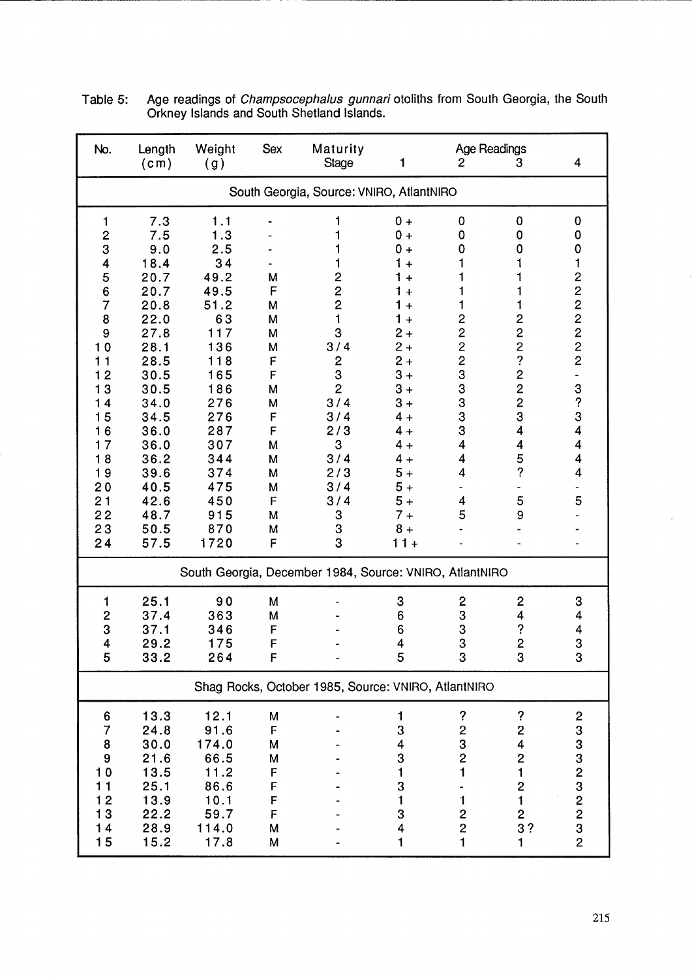| No.                                                                                                                                                                                 | Length<br>(c <sub>m</sub> )                                                                                                                                                               | Weight<br>(g)                                                                                                                                                          | Sex                                                                                              | Maturity<br><b>Stage</b>                                                                                                                                | 1                                                                                                                                                                                                                       | 2                                                                                                                                    | Age Readings<br>3                                                                                                                                                                           | 4                                                                                    |
|-------------------------------------------------------------------------------------------------------------------------------------------------------------------------------------|-------------------------------------------------------------------------------------------------------------------------------------------------------------------------------------------|------------------------------------------------------------------------------------------------------------------------------------------------------------------------|--------------------------------------------------------------------------------------------------|---------------------------------------------------------------------------------------------------------------------------------------------------------|-------------------------------------------------------------------------------------------------------------------------------------------------------------------------------------------------------------------------|--------------------------------------------------------------------------------------------------------------------------------------|---------------------------------------------------------------------------------------------------------------------------------------------------------------------------------------------|--------------------------------------------------------------------------------------|
|                                                                                                                                                                                     |                                                                                                                                                                                           |                                                                                                                                                                        |                                                                                                  | South Georgia, Source: VNIRO, AtlantNIRO                                                                                                                |                                                                                                                                                                                                                         |                                                                                                                                      |                                                                                                                                                                                             |                                                                                      |
| 1<br>$\overline{\mathbf{c}}$<br>3<br>4<br>5<br>$\overline{6}$<br>$\overline{7}$<br>8<br>9<br>10<br>11<br>12<br>13<br>14<br>15<br>16<br>17<br>18<br>19<br>20<br>21<br>22<br>23<br>24 | 7.3<br>7.5<br>9.0<br>18.4<br>20.7<br>20.7<br>20.8<br>22.0<br>27.8<br>28.1<br>28.5<br>30.5<br>30.5<br>34.0<br>34.5<br>36.0<br>36.0<br>36.2<br>39.6<br>40.5<br>42.6<br>48.7<br>50.5<br>57.5 | 1.1<br>1.3<br>2.5<br>34<br>49.2<br>49.5<br>51.2<br>63<br>117<br>136<br>118<br>165<br>186<br>276<br>276<br>287<br>307<br>344<br>374<br>475<br>450<br>915<br>870<br>1720 | M<br>F<br>M<br>M<br>M<br>M<br>F<br>F<br>M<br>M<br>F<br>F<br>M<br>M<br>M<br>M<br>F<br>M<br>M<br>F | 2<br>$\overline{c}$<br>$\overline{c}$<br>1<br>3<br>3/4<br>2<br>3<br>$\overline{2}$<br>3/4<br>3/4<br>2/3<br>3<br>3/4<br>2/3<br>3/4<br>3/4<br>3<br>3<br>3 | $0 +$<br>$0 +$<br>$0 +$<br>1<br>$+$<br>1<br>$+$<br>1<br>$+$<br>1<br>$+$<br>$1 +$<br>$2+$<br>$2+$<br>$2 +$<br>$3 +$<br>$3+$<br>$3+$<br>$4 +$<br>4 +<br>$4 +$<br>$4 +$<br>$5+$<br>$5+$<br>$5+$<br>$7 +$<br>$8+$<br>$11 +$ | 0<br>0<br>0<br>1<br>1<br>$\overline{\mathbf{c}}$<br>$\overline{c}$<br>$\overline{c}$<br>$233$<br>$333$<br>3<br>4<br>4<br>4<br>4<br>5 | $\mathbf 0$<br>0<br>0<br>1<br>$\overline{c}$<br>$\overline{c}$<br>$\frac{2}{?}$<br>$\overline{c}$<br>$\overline{c}$<br>$\overline{c}$<br>3<br>4<br>4<br>5<br>$\ddot{\mathcal{C}}$<br>5<br>9 | 0<br>0<br>0<br>1<br>222222<br>3<br>$\ddot{\mathbf{?}}$<br>3<br>4<br>4<br>4<br>4<br>5 |
|                                                                                                                                                                                     |                                                                                                                                                                                           |                                                                                                                                                                        |                                                                                                  | South Georgia, December 1984, Source: VNIRO, AtlantNIRO                                                                                                 |                                                                                                                                                                                                                         |                                                                                                                                      |                                                                                                                                                                                             |                                                                                      |
| 1<br>$\overline{\mathbf{c}}$<br>3<br>4<br>5                                                                                                                                         | 25.1<br>37.4<br>37.1<br>29.2<br>33.2                                                                                                                                                      | 90<br>363<br>346<br>175<br>264                                                                                                                                         | M<br>M<br>F<br>F<br>۲                                                                            |                                                                                                                                                         | 3<br>6<br>6<br>$\overline{\mathbf{4}}$<br>5                                                                                                                                                                             | $\mathbf{c}$<br>3<br>3<br>3<br>3                                                                                                     | $\mathbf 2$<br>4<br>?<br>$\overline{2}$<br>3                                                                                                                                                | 3<br>4<br>4<br>3<br>3                                                                |
|                                                                                                                                                                                     |                                                                                                                                                                                           |                                                                                                                                                                        |                                                                                                  | Shag Rocks, October 1985, Source: VNIRO, AtlantNIRO                                                                                                     |                                                                                                                                                                                                                         |                                                                                                                                      |                                                                                                                                                                                             |                                                                                      |
| 6<br>7<br>8<br>9<br>10<br>11<br>$\begin{array}{c} 12 \\ 13 \end{array}$<br>14<br>15                                                                                                 | 13.3<br>24.8<br>30.0<br>21.6<br>13.5<br>25.1<br>13.9<br>22.2<br>28.9<br>15.2                                                                                                              | 12.1<br>91.6<br>174.0<br>66.5<br>11.2<br>86.6<br>10.1<br>59.7<br>114.0<br>17.8                                                                                         | M<br>F<br>M<br>M<br>F<br>F<br>F<br>F<br>M<br>M                                                   |                                                                                                                                                         | 1<br>3<br>4<br>3<br>1<br>3<br>1<br>3<br>4<br>1                                                                                                                                                                          | ?<br>$\overline{\mathbf{c}}$<br>3<br>$\overline{c}$<br>1<br>1<br>$\overline{c}$<br>$\overline{c}$<br>1                               | $\boldsymbol{\mathcal{P}}$<br>$\overline{\mathbf{c}}$<br>4<br>$\overline{\mathbf{c}}$<br>$\mathbf{1}$<br>$\overline{\mathbf{c}}$<br>1<br>$\begin{array}{c} 2 \\ 3 \end{array}$<br>1         | $\frac{2}{3}$<br>332323232                                                           |

Table 5: Age readings of *Champsocephalus gunnari* otoliths from South Georgia, the South Orkney Islands and South Shetland Islands.

--------------------- ---------------------------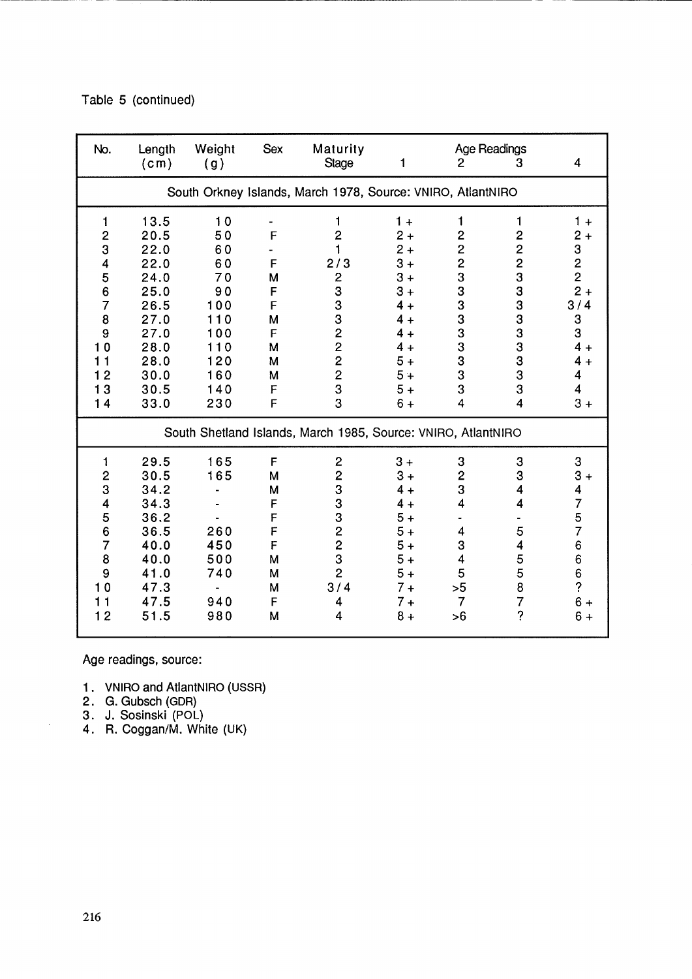|  |  |  | Table 5 (continued) |
|--|--|--|---------------------|
|--|--|--|---------------------|

| No.                                                                                   | Length<br>(c <sub>m</sub> )                                                                          | Weight<br>(g)                                                                     | <b>Sex</b>                                               | Maturity<br><b>Stage</b>                                                                                                                             | 1                                                                                                         | $\overline{2}$                                                                                                                       | <b>Age Readings</b><br>3                                                                    | 4                                                                                                                              |
|---------------------------------------------------------------------------------------|------------------------------------------------------------------------------------------------------|-----------------------------------------------------------------------------------|----------------------------------------------------------|------------------------------------------------------------------------------------------------------------------------------------------------------|-----------------------------------------------------------------------------------------------------------|--------------------------------------------------------------------------------------------------------------------------------------|---------------------------------------------------------------------------------------------|--------------------------------------------------------------------------------------------------------------------------------|
|                                                                                       |                                                                                                      |                                                                                   |                                                          | South Orkney Islands, March 1978, Source: VNIRO, AtlantNIRO                                                                                          |                                                                                                           |                                                                                                                                      |                                                                                             |                                                                                                                                |
| 1<br>$\frac{2}{3}$<br>4<br>5<br>6<br>$\overline{7}$<br>8<br>9<br>10<br>11<br>12<br>13 | 13.5<br>20.5<br>22.0<br>22.0<br>24.0<br>25.0<br>26.5<br>27.0<br>27.0<br>28.0<br>28.0<br>30.0<br>30.5 | 10<br>50<br>60<br>60<br>70<br>90<br>100<br>110<br>100<br>110<br>120<br>160<br>140 | F<br>F<br>M<br>F<br>F<br>M<br>F<br>M<br>M<br>M<br>F      | 1<br>$\overline{c}$<br>1<br>2/3<br>$\mathbf{2}$<br>3<br>3<br>3<br>$\overline{c}$<br>$\overline{2}$<br>$\overline{\mathbf{c}}$<br>$\overline{2}$<br>3 | $1 +$<br>$2+$<br>$2+$<br>$3+$<br>$3+$<br>$3+$<br>$4 +$<br>$4 +$<br>$4 +$<br>$4 +$<br>$5+$<br>$5+$<br>$5+$ | 1<br>$\overline{\mathbf{c}}$<br>$\overline{c}$<br>2333333333<br>3                                                                    | $\mathbf{1}$<br>$\overline{c}$<br>$\overline{c}$<br>233333333<br>3                          | $1 +$<br>$2+$<br>$\frac{3}{2}$<br>2<br>2 +<br>3/4<br>3<br>3<br>$4 +$<br>$4 +$<br>$\overline{\mathbf{4}}$<br>4                  |
| 14                                                                                    | 33.0                                                                                                 | 230                                                                               | F                                                        | 3<br>South Shetland Islands, March 1985, Source: VNIRO, AtlantNIRO                                                                                   | $6+$                                                                                                      | $\overline{4}$                                                                                                                       | $\overline{4}$                                                                              | $3+$                                                                                                                           |
|                                                                                       |                                                                                                      |                                                                                   |                                                          |                                                                                                                                                      |                                                                                                           |                                                                                                                                      |                                                                                             |                                                                                                                                |
| 1<br>234567<br>8<br>9<br>10<br>11<br>12                                               | 29.5<br>30.5<br>34.2<br>34.3<br>36.2<br>36.5<br>40.0<br>40.0<br>41.0<br>47.3<br>47.5<br>51.5         | 165<br>165<br>260<br>450<br>500<br>740<br>940<br>980                              | F<br>M<br>M<br>F<br>F<br>F<br>F<br>M<br>M<br>M<br>F<br>M | $\mathbf{2}$<br>$\overline{2}$<br>3<br>3<br>3<br>$\frac{2}{2}$<br>3<br>$\overline{2}$<br>3/4<br>4<br>4                                               | $3+$<br>$3+$<br>$4 +$<br>$4 +$<br>$5+$<br>$5+$<br>$5+$<br>$5+$<br>$5+$<br>$7 +$<br>$7 +$<br>$8+$          | 3<br>$\overline{\mathbf{c}}$<br>3<br>$\overline{\mathbf{4}}$<br>4<br>3<br>$\overline{\mathbf{4}}$<br>5<br>>5<br>$\overline{7}$<br>>6 | 3<br>3<br>4<br>$\overline{\mathbf{4}}$<br>5<br>4<br>5<br>5<br>8<br>7<br>$\ddot{\mathbf{c}}$ | 3<br>$3+$<br>$\overline{\mathcal{A}}$<br>$\overline{7}$<br>$\frac{5}{7}$<br>6<br>6<br>6<br>$\ddot{\textbf{?}}$<br>$6+$<br>$6+$ |

----------------------------

Age readings, source:

- 1. VNIRO and AtlantNIRO (USSR)
- 2. G. Gubsch (GDR)
- 3. J. Sosinski (POl)
- 4. R. Coggan/M. White (UK)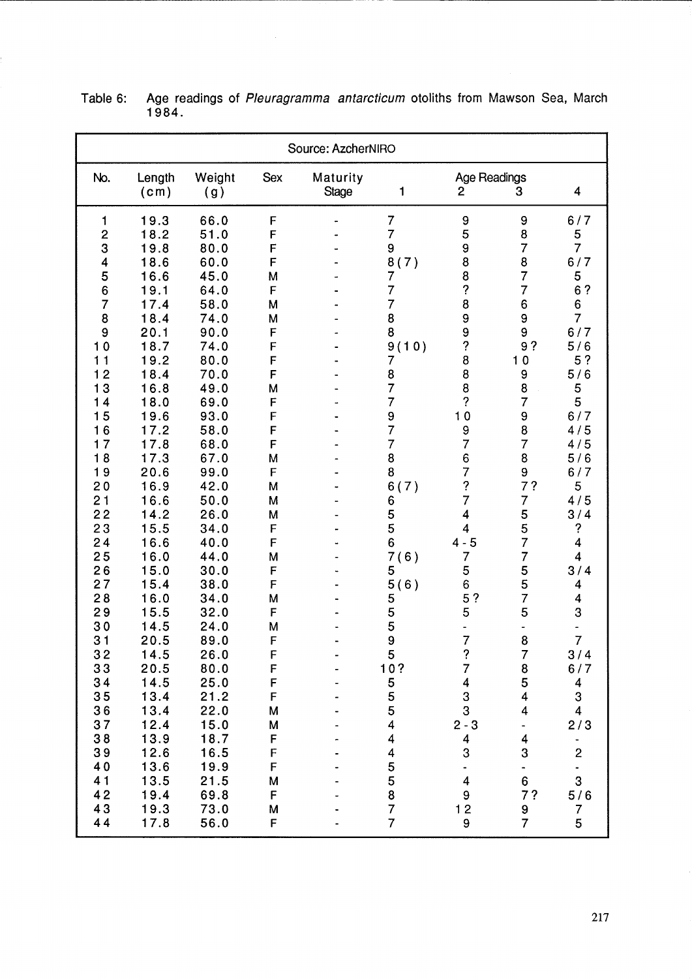Table 6: Age readings of Pleuragramma antarcticum otoliths from Mawson Sea, March 1984.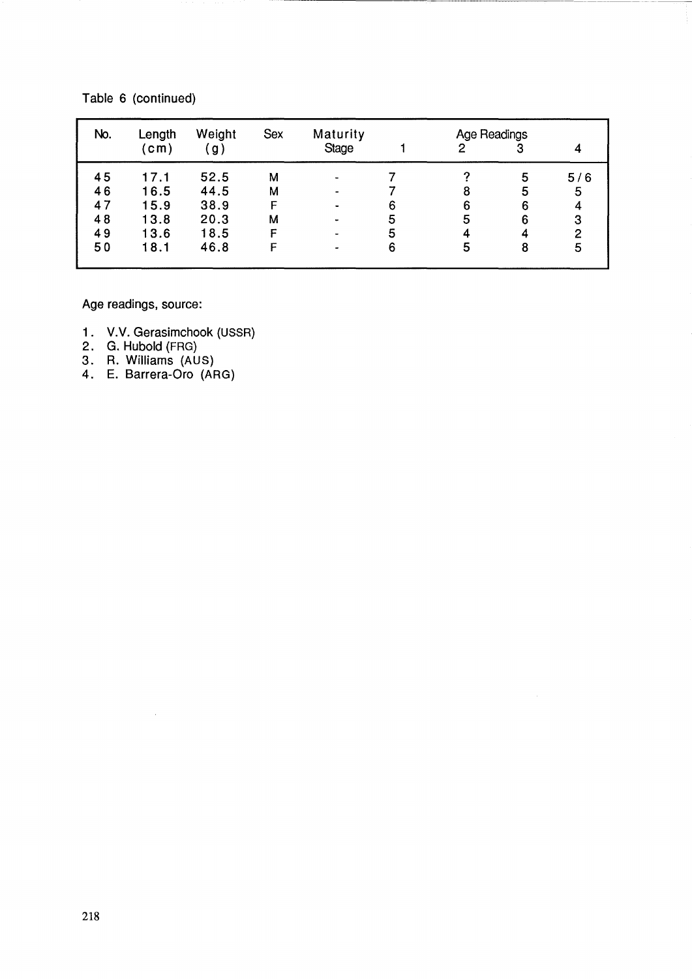| No.      | Length<br>(cm) | Weight<br>(g) | <b>Sex</b> | Maturity<br><b>Stage</b> |   | <b>Age Readings</b><br>2 | 3      |     |
|----------|----------------|---------------|------------|--------------------------|---|--------------------------|--------|-----|
| 45       | 17.1           | 52.5          | М          |                          |   |                          | 5      | 5/6 |
| 46<br>47 | 16.5<br>15.9   | 44.5<br>38.9  | M          |                          | 6 | 8<br>6                   | 5<br>6 | 5   |
| 48       | 13.8           | 20.3          | М          |                          | 5 | 5                        | 6      | 3   |
| 49       | 13.6           | 18.5          |            |                          | 5 |                          |        | 2   |
| 50       | 18.1           | 46.8          | F          | ۰                        | 6 | 5                        | 8      | 5   |

### Table 6 (continued)

Age readings, source:

- 1. V.V. Gerasimchook (USSR)
- 2. G. Hubold (FRG)
- 3. R. Williams (AUS)
- 4. E. Barrera-Oro (ARG)

 $\alpha$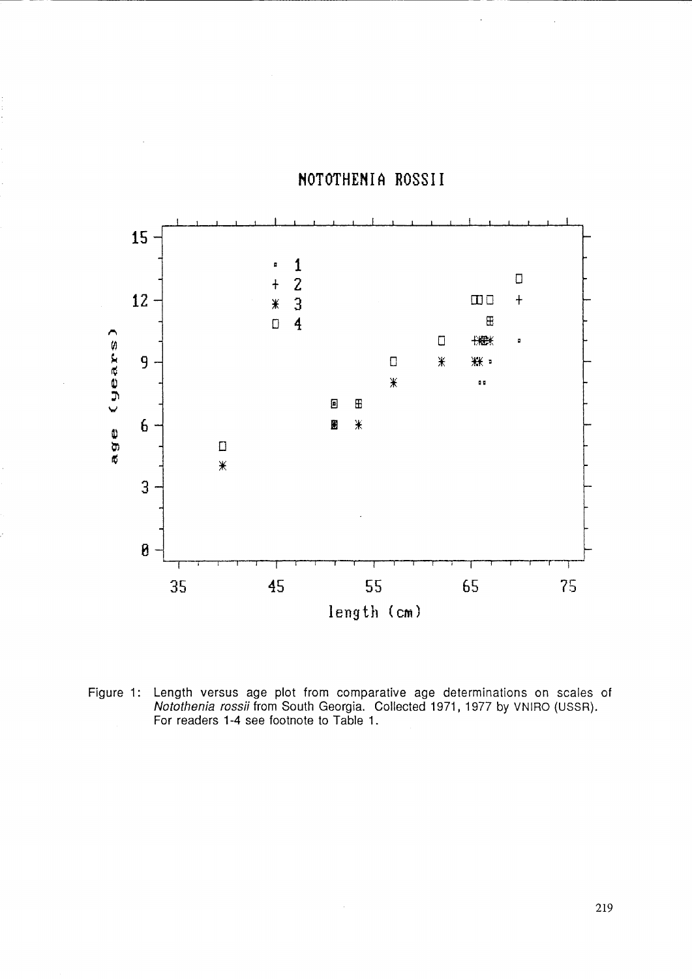

## NOTOTHENIA ROSSII

Figure 1: Length versus age plot from comparative age determinations on scales of Notothenia rossii from South Georgia. Collected 1971, 1977 by VNIRO (USSR). For readers 1-4 see footnote to Table 1.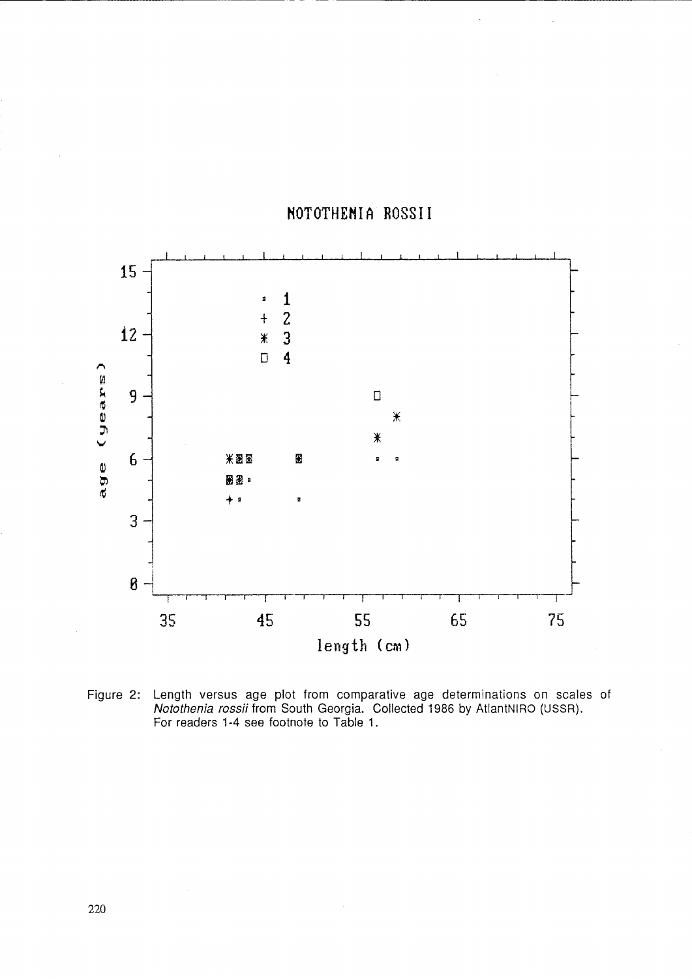

# HOTOTHEMIA ROSSII

----------------------- - -- --------------------

Figure 2: Length versus age plot from comparative age determinations on scales of Notothenia rossii from South Georgia. Collected 1986 by AtlantNIRO (USSR). For readers 1-4 see footnote to Table 1.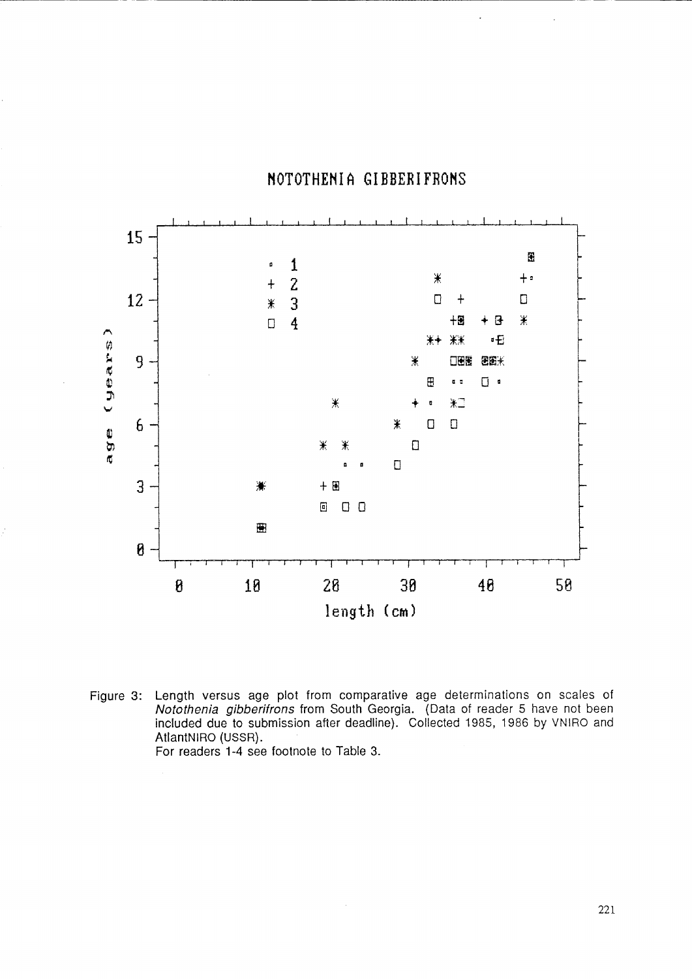## MOTOTHENIA GIBBERIFROHS

~----~-



Figure 3: Length versus age plot from comparative age determinations on scales of Notothenia gibberifrons from South Georgia. (Data of reader 5 have not been included due to submission after deadline). Collected 1985, 1986 by VNIRO and AtlantNIRO (USSR). For readers 1-4 see footnote to Table 3.

221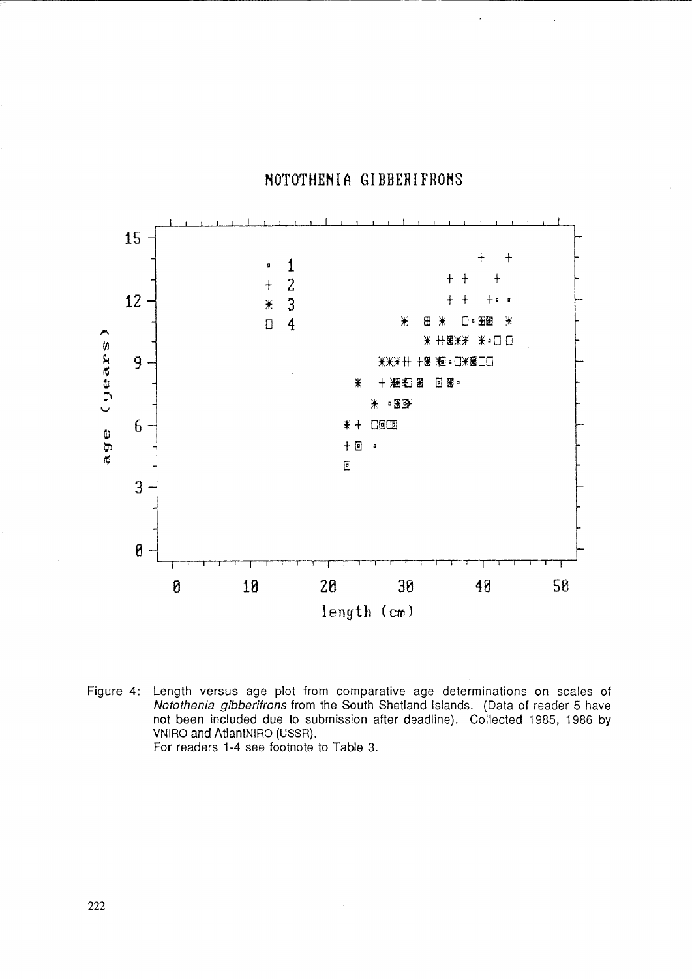### NOTOTHENIA GIBBERIFRONS



Figure 4: Length versus age plot from comparative age determinations on scales of<br>*Notothenia gibberifrons* from the South Shetland Islands. (Data of reader 5 have not been included due to submission after deadline). Collected 1985, 1986 by VNIRO and AtlantNIRO (USSR). For readers 1-4 see footnote to Table 3.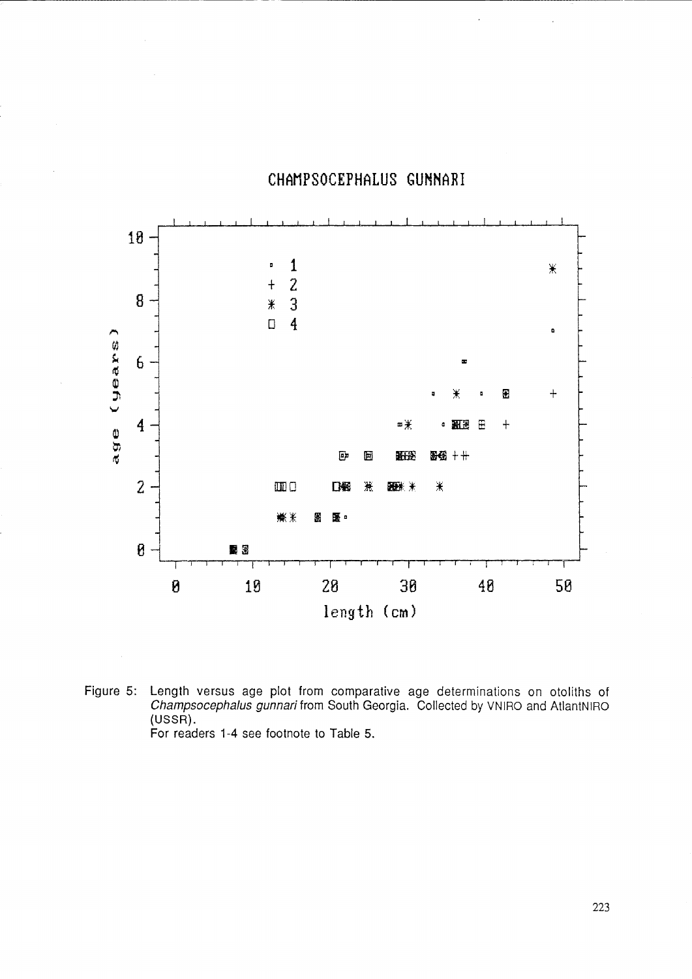## CHAMPSOCEPHALUS GUNNARI



Length versus age plot from comparative age determinations on otoliths of Champsocephalus gunnari from South Georgia. Collected by VNIRO and AtlantNIRO Figure 5:  $(USSR)$ . For readers 1-4 see footnote to Table 5.

223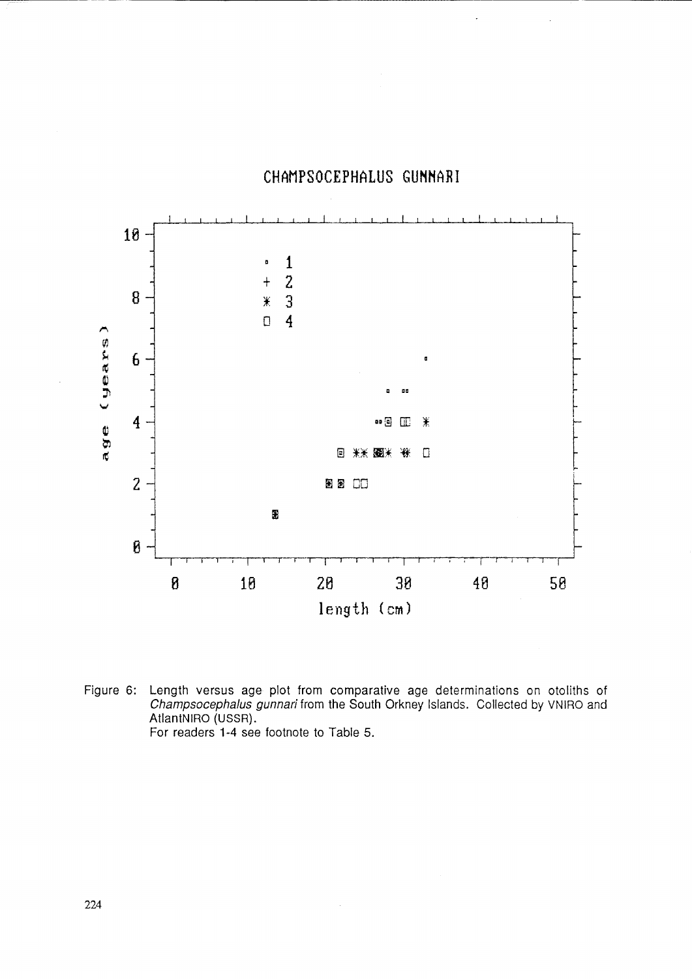



Figure 6: Length versus age plot from comparative age determinations on otoliths of Champsocephalus gunnari from the South Orkney Islands. Collected by VNIRO and AtlantNIRO (USSR).<br>For readers 1-4 see footnote to Table 5.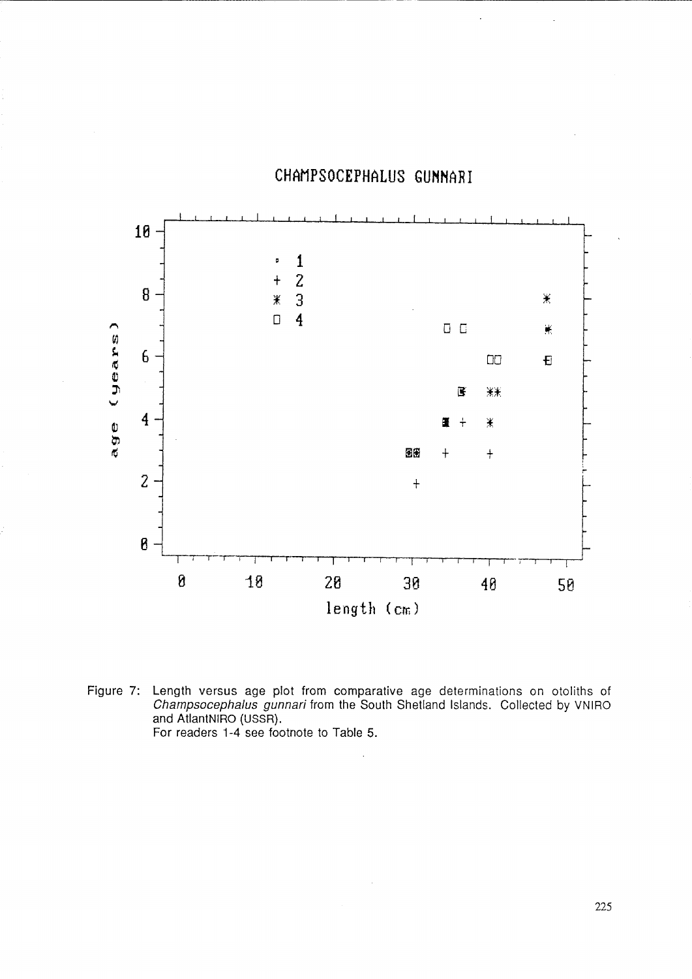

# **CHAMPSOCEPHALUS GUMNARI**

-------------------------- -

Figure 7: Length versus age plot from comparative age determinations on otoliths of Champsocephalus gunnari from the South Shetland Islands. Collected by VNIRO and AtlantNIRO (USSR). For readers 1-4 see footnote to Table 5.